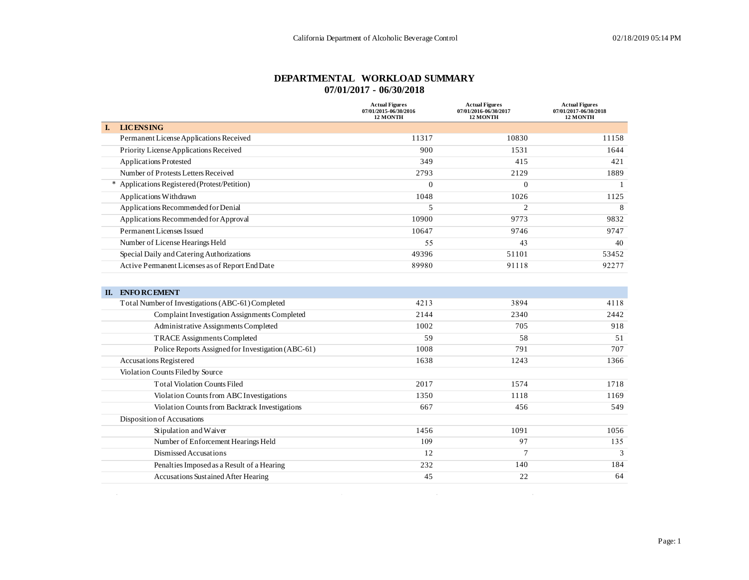#### **DEPARTMENTAL WORKLOAD SUMMARY 07/01/2017 - 06/30/2018**

|                                                 | <b>Actual Figures</b><br>07/01/2015-06/30/2016<br><b>12 MONTH</b> | <b>Actual Figures</b><br>07/01/2016-06/30/2017<br><b>12 MONTH</b> | <b>Actual Figures</b><br>07/01/2017-06/30/2018<br><b>12 MONTH</b> |
|-------------------------------------------------|-------------------------------------------------------------------|-------------------------------------------------------------------|-------------------------------------------------------------------|
| <b>LICENSING</b><br>L.                          |                                                                   |                                                                   |                                                                   |
| Permanent License Applications Received         | 11317                                                             | 10830                                                             | 11158                                                             |
| Priority License Applications Received          | 900                                                               | 1531                                                              | 1644                                                              |
| <b>Applications Protested</b>                   | 349                                                               | 415                                                               | 421                                                               |
| Number of Protests Letters Received             | 2793                                                              | 2129                                                              | 1889                                                              |
| Applications Registered (Protest/Petition)      | $\Omega$                                                          | $\overline{0}$                                                    |                                                                   |
| Applications Withdrawn                          | 1048                                                              | 1026                                                              | 1125                                                              |
| Applications Recommended for Denial             | 5                                                                 | $\overline{c}$                                                    | 8                                                                 |
| Applications Recommended for Approval           | 10900                                                             | 9773                                                              | 9832                                                              |
| Permanent Licenses Issued                       | 10647                                                             | 9746                                                              | 9747                                                              |
| Number of License Hearings Held                 | 55                                                                | 43                                                                | 40                                                                |
| Special Daily and Catering Authorizations       | 49396                                                             | 51101                                                             | 53452                                                             |
| Active Permanent Licenses as of Report End Date | 89980                                                             | 91118                                                             | 92277                                                             |

| П. | <b>ENFORCEMENT</b>                                 |      |               |               |
|----|----------------------------------------------------|------|---------------|---------------|
|    | Total Number of Investigations (ABC-61) Completed  | 4213 | 3894          | 4118          |
|    | Complaint Investigation Assignments Completed      | 2144 | 2340          | 2442          |
|    | Administrative Assignments Completed               | 1002 | 705           | 918           |
|    | <b>TRACE Assignments Completed</b>                 | 59   | 58            | 51            |
|    | Police Reports Assigned for Investigation (ABC-61) | 1008 | 791           | 707           |
|    | <b>Accusations Registered</b>                      | 1638 | 1243          | 1366          |
|    | Violation Counts Filed by Source                   |      |               |               |
|    | <b>Total Violation Counts Filed</b>                | 2017 | 1574          | 1718          |
|    | Violation Counts from ABC Investigations           | 1350 | 1118          | 1169          |
|    | Violation Counts from Backtrack Investigations     | 667  | 456           | 549           |
|    | Disposition of Accusations                         |      |               |               |
|    | Stipulation and Waiver                             | 1456 | 1091          | 1056          |
|    | Number of Enforcement Hearings Held                | 109  | 97            | 135           |
|    | Dismissed Accusations                              | 12   | $\mathcal{I}$ | $\mathcal{R}$ |
|    | Penalties Imposed as a Result of a Hearing         | 232  | 140           | 184           |
|    | Accusations Sustained After Hearing                | 45   | 22            | 64            |
|    |                                                    |      |               |               |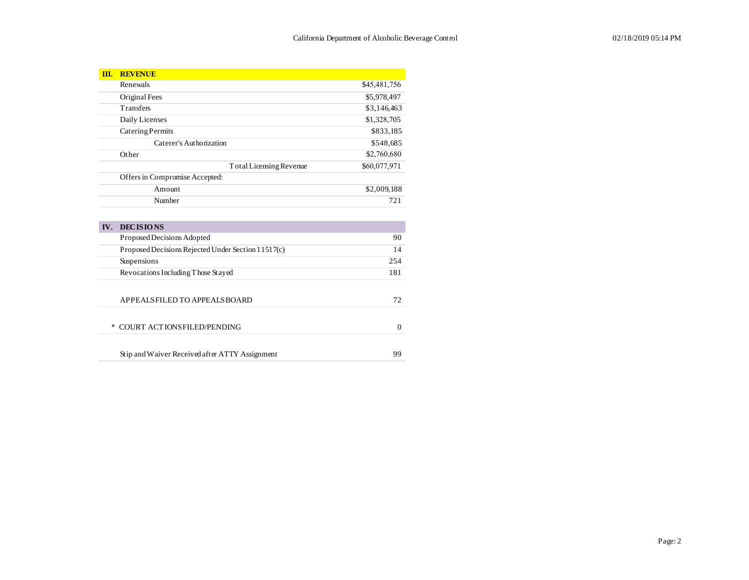| Ш.     | <b>REVENUE</b>                                     |              |
|--------|----------------------------------------------------|--------------|
|        | Renewals                                           | \$45,481,756 |
|        | Original Fees                                      | \$5,978,497  |
|        | Transfers                                          | \$3,146,463  |
|        | Daily Licenses                                     | \$1,328,705  |
|        | Catering Permits                                   | \$833,185    |
|        | Caterer's Authorization                            | \$548,685    |
|        | Other                                              | \$2,760,680  |
|        | Total Licensing Revenue                            | \$60,077,971 |
|        | Offers in Compromise Accepted:                     |              |
|        | Amount                                             | \$2,009,188  |
|        | Number                                             | 721          |
|        |                                                    |              |
| IV.    | <b>DECISIONS</b>                                   |              |
|        | Proposed Decisions Adopted                         | 90           |
|        | Proposed Decisions Rejected Under Section 11517(c) | 14           |
|        | Suspensions                                        | 254          |
|        | Revocations Including Those Stayed                 | 181          |
|        |                                                    |              |
|        | APPEALSFILED TO APPEALS BOARD                      | 72           |
|        |                                                    |              |
| $\ast$ | <b>COURT ACTIONS FILED/PENDING</b>                 | $\mathbf{0}$ |
|        |                                                    |              |
|        | Stip and Waiver Received after ATTY Assignment     | 99           |
|        |                                                    |              |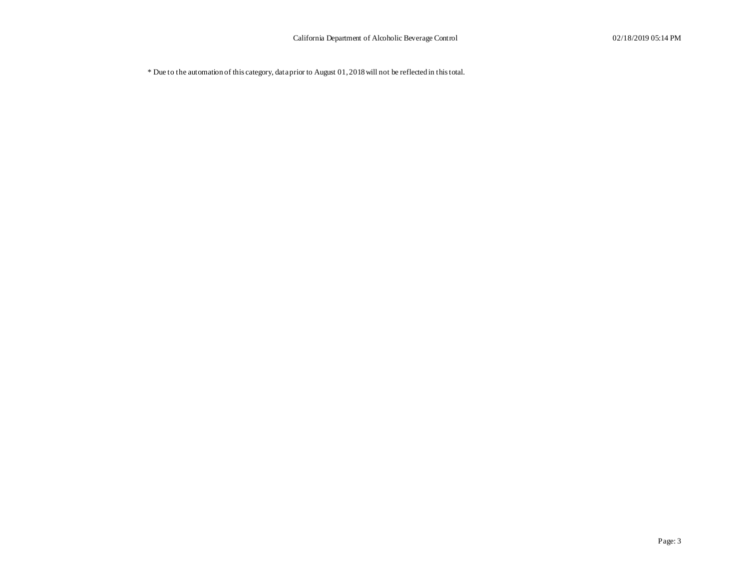\* Due to the automation of this category, data prior to August 01, 2018 will not be reflected in this total.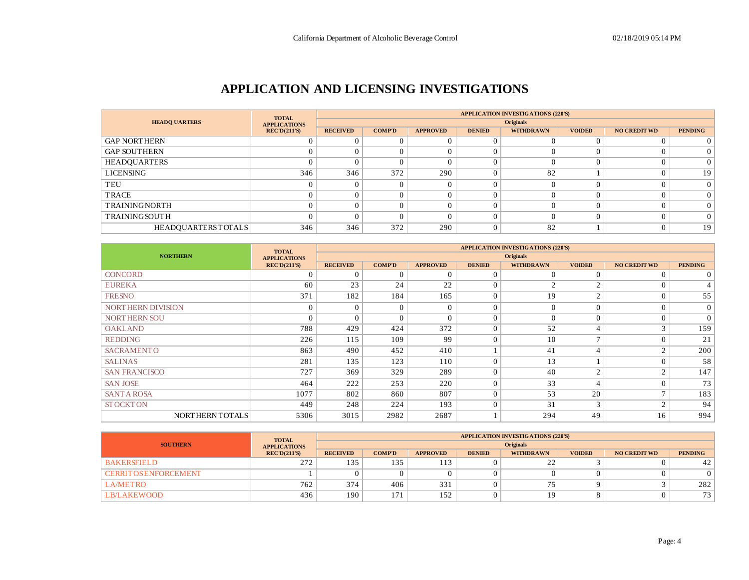### **APPLICATION AND LICENSING INVESTIGATIONS**

|                           | <b>TOTAL</b>        | <b>APPLICATION INVESTIGATIONS (220'S)</b> |                  |                 |               |                  |               |                     |                |  |  |  |  |
|---------------------------|---------------------|-------------------------------------------|------------------|-----------------|---------------|------------------|---------------|---------------------|----------------|--|--|--|--|
| <b>HEADO UARTERS</b>      | <b>APPLICATIONS</b> |                                           | <b>Originals</b> |                 |               |                  |               |                     |                |  |  |  |  |
|                           | RECD(211'S)         | <b>RECEIVED</b>                           | <b>COMP'D</b>    | <b>APPROVED</b> | <b>DENIED</b> | <b>WITHDRAWN</b> | <b>VOIDED</b> | <b>NO CREDIT WD</b> | <b>PENDING</b> |  |  |  |  |
| <b>GAP NORTHERN</b>       |                     |                                           |                  | $\Omega$        |               |                  |               |                     |                |  |  |  |  |
| <b>GAP SOUTHERN</b>       |                     |                                           |                  | $\Omega$        |               |                  |               |                     |                |  |  |  |  |
| HEADQUARTERS              |                     |                                           |                  | $\Omega$        |               |                  |               |                     |                |  |  |  |  |
| <b>LICENSING</b>          | 346                 | 346                                       | 372              | 290             |               | 82               |               |                     | 19             |  |  |  |  |
| TEU                       |                     |                                           |                  | $\Omega$        |               |                  |               |                     | $\Omega$       |  |  |  |  |
| TRACE                     |                     |                                           |                  | $\Omega$        |               |                  |               |                     | 0              |  |  |  |  |
| <b>TRAININGNORTH</b>      |                     |                                           |                  |                 |               |                  |               |                     |                |  |  |  |  |
| <b>TRAININGSOUTH</b>      |                     |                                           |                  |                 |               |                  |               |                     |                |  |  |  |  |
| <b>HEADQUARTERSTOTALS</b> | 346                 | 346                                       | 372              | 290             |               | 82               |               |                     | 19             |  |  |  |  |

|                      | <b>TOTAL</b>        | <b>APPLICATION INVESTIGATIONS (220'S)</b> |               |                 |                |                  |                |                     |                |  |  |  |
|----------------------|---------------------|-------------------------------------------|---------------|-----------------|----------------|------------------|----------------|---------------------|----------------|--|--|--|
| <b>NORTHERN</b>      | <b>APPLICATIONS</b> |                                           |               |                 |                | <b>Originals</b> |                |                     |                |  |  |  |
|                      | REC'D(211'S)        | <b>RECEIVED</b>                           | <b>COMP'D</b> | <b>APPROVED</b> | <b>DENIED</b>  | <b>WITHDRAWN</b> | <b>VOIDED</b>  | <b>NO CREDIT WD</b> | <b>PENDING</b> |  |  |  |
| <b>CONCORD</b>       | $\sqrt{ }$          | $\Omega$                                  | $\Omega$      | $\Omega$        | $\Omega$       | $\Omega$         | $\Omega$       | $\Omega$            | $\overline{0}$ |  |  |  |
| <b>EUREKA</b>        | 60                  | 23                                        | 24            | 22              | $\Omega$       | $\sim$           | $\bigcirc$     | $\Omega$            | $\overline{4}$ |  |  |  |
| <b>FRESNO</b>        | 371                 | 182                                       | 184           | 165             | $\overline{0}$ | 19               | $\sim$         | $\Omega$            | 55             |  |  |  |
| NORTHERN DIVISION    | $\Omega$            | $\Omega$                                  | $\Omega$      | $\Omega$        | $\Omega$       | $\Omega$         | $\Omega$       | $\Omega$            | $\overline{0}$ |  |  |  |
| <b>NORTHERN SOU</b>  | $\sqrt{ }$          | $\Omega$                                  | $\Omega$      | $\Omega$        | $\Omega$       | $\Omega$         | $\Omega$       | $\Omega$            | $\overline{0}$ |  |  |  |
| <b>OAKLAND</b>       | 788                 | 429                                       | 424           | 372             | $\Omega$       | 52               | $\overline{4}$ | 3                   | 159            |  |  |  |
| <b>REDDING</b>       | 226                 | 115                                       | 109           | 99              | $\theta$       | 10               | $\mathbf{r}$   | $\Omega$            | 21             |  |  |  |
| <b>SACRAMENTO</b>    | 863                 | 490                                       | 452           | 410             |                | 41               | $\overline{4}$ | $\mathcal{L}$       | 200            |  |  |  |
| <b>SALINAS</b>       | 281                 | 135                                       | 123           | 110             | $\overline{0}$ | 13               |                | $\Omega$            | 58             |  |  |  |
| <b>SAN FRANCISCO</b> | 727                 | 369                                       | 329           | 289             | $\overline{0}$ | 40               | $\sim$         | $\mathcal{D}$       | 147            |  |  |  |
| <b>SAN JOSE</b>      | 464                 | 222                                       | 253           | 220             | $\Omega$       | 33               | $\overline{4}$ | $\Omega$            | 73             |  |  |  |
| <b>SANTA ROSA</b>    | 1077                | 802                                       | 860           | 807             | $\overline{0}$ | 53               | 20             | $\overline{ }$      | 183            |  |  |  |
| <b>STOCKTON</b>      | 449                 | 248                                       | 224           | 193             | $\mathbf{0}$   | 31               | 3              | $\mathcal{D}$       | 94             |  |  |  |
| NORTHERN TOTALS      | 5306                | 3015                                      | 2982          | 2687            |                | 294              | 49             | 16                  | 994            |  |  |  |

|                              | <b>TOTAL</b>        |                 |                  |                 |               | <b>APPLICATION INVESTIGATIONS (220'S)</b> |               |                     |                |  |  |  |
|------------------------------|---------------------|-----------------|------------------|-----------------|---------------|-------------------------------------------|---------------|---------------------|----------------|--|--|--|
| <b>SOUTHERN</b>              | <b>APPLICATIONS</b> |                 | <b>Originals</b> |                 |               |                                           |               |                     |                |  |  |  |
|                              | REC'D(211'S)        | <b>RECEIVED</b> | <b>COMP'D</b>    | <b>APPROVED</b> | <b>DENIED</b> | <b>WITHDRAWN</b>                          | <b>VOIDED</b> | <b>NO CREDIT WD</b> | <b>PENDING</b> |  |  |  |
| <b>BAKERSFIELD</b>           | 272                 | 135             | 135              | 113             |               | $\cap$<br>∸                               |               |                     | 42             |  |  |  |
| <b>CERRIT OS ENFORCEMENT</b> |                     |                 |                  |                 |               |                                           |               |                     |                |  |  |  |
| <b>LA/METRO</b>              | 762                 | 374             | 406              | 331             |               |                                           |               |                     | 282            |  |  |  |
| <b>LB/LAKEWOOD</b>           | 436                 | 190             | 171              | 152             |               |                                           |               |                     | 73             |  |  |  |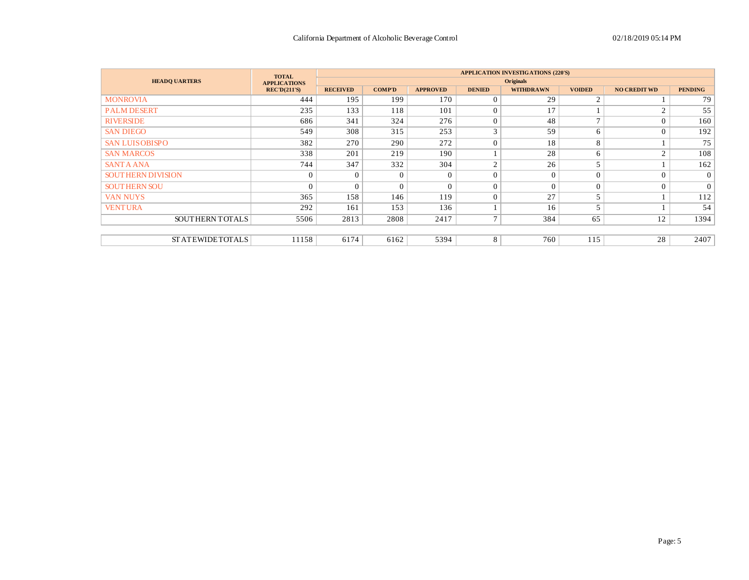|                          | <b>TOTAL</b>        |                 |               |                 |                | <b>APPLICATION INVESTIGATIONS (220'S)</b> |                |                     |                |
|--------------------------|---------------------|-----------------|---------------|-----------------|----------------|-------------------------------------------|----------------|---------------------|----------------|
| <b>HEADQ UARTERS</b>     | <b>APPLICATIONS</b> |                 |               |                 |                | <b>Originals</b>                          |                |                     |                |
|                          | <b>REC'D(211'S)</b> | <b>RECEIVED</b> | <b>COMP'D</b> | <b>APPROVED</b> | <b>DENIED</b>  | <b>WITHDRAWN</b>                          | <b>VOIDED</b>  | <b>NO CREDIT WD</b> | <b>PENDING</b> |
| <b>MONROVIA</b>          | 444                 | 195             | 199           | 170             |                | 29                                        | $\overline{c}$ |                     | 79             |
| <b>PALM DESERT</b>       | 235                 | 133             | 118           | 101             | $\Omega$       | 17                                        |                | $\gamma$            | 55             |
| <b>RIVERSIDE</b>         | 686                 | 341             | 324           | 276             | $\mathbf{0}$   | 48                                        | $\overline{ }$ | $\Omega$            | 160            |
| <b>SAN DIEGO</b>         | 549                 | 308             | 315           | 253             | 3              | 59                                        | 6              | $\Omega$            | 192            |
| <b>SAN LUISOBISPO</b>    | 382                 | 270             | 290           | 272             | $\theta$       | 18                                        | 8              |                     | 75             |
| <b>SAN MARCOS</b>        | 338                 | 201             | 219           | 190             |                | 28                                        | 6              | $\overline{c}$      | 108            |
| <b>SANTA ANA</b>         | 744                 | 347             | 332           | 304             | $\overline{2}$ | 26                                        |                |                     | 162            |
| <b>SOUTHERN DIVISION</b> | $\Omega$            | $\Omega$        | $\Omega$      | $\Omega$        | $\theta$       | $\Omega$                                  | $\theta$       | $\Omega$            | $\overline{0}$ |
| <b>SOUTHERN SOU</b>      | $\Omega$            | $\Omega$        | $\Omega$      | $\Omega$        | $\theta$       | $\Omega$                                  | $\Omega$       | $\Omega$            | $\overline{0}$ |
| <b>VAN NUYS</b>          | 365                 | 158             | 146           | 119             | $\Omega$       | 27                                        |                |                     | 112            |
| <b>VENTURA</b>           | 292                 | 161             | 153           | 136             |                | 16                                        |                |                     | 54             |
| <b>SOUTHERNTOTALS</b>    | 5506                | 2813            | 2808          | 2417            | $\mathcal{L}$  | 384                                       | 65             | 12                  | 1394           |
|                          |                     |                 |               |                 |                |                                           |                |                     |                |
| <b>STATEWIDETOTALS</b>   | 11158               | 6174            | 6162          | 5394            | 8              | 760                                       | 115            | 28                  | 2407           |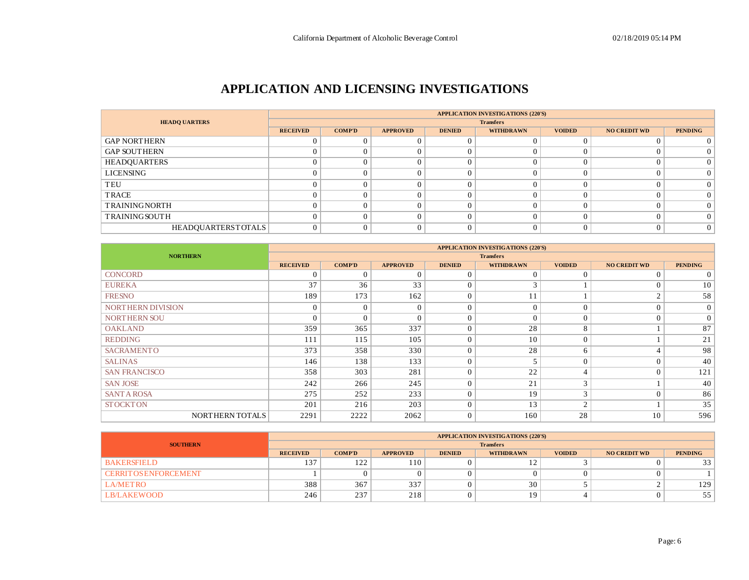### **APPLICATION AND LICENSING INVESTIGATIONS**

|                           |                 |               |                 |               | <b>APPLICATION INVESTIGATIONS (220'S)</b> |               |                     |                |
|---------------------------|-----------------|---------------|-----------------|---------------|-------------------------------------------|---------------|---------------------|----------------|
| <b>HEADQ UARTERS</b>      |                 |               |                 |               | <b>Transfers</b>                          |               |                     |                |
|                           | <b>RECEIVED</b> | <b>COMP'D</b> | <b>APPROVED</b> | <b>DENIED</b> | <b>WITHDRAWN</b>                          | <b>VOIDED</b> | <b>NO CREDIT WD</b> | <b>PENDING</b> |
| <b>GAP NORTHERN</b>       |                 |               |                 |               |                                           |               |                     |                |
| <b>GAP SOUTHERN</b>       |                 |               |                 |               |                                           |               |                     | 0              |
| HEADQUARTERS              |                 |               |                 |               |                                           |               |                     | $\Omega$       |
| LICENSING                 |                 |               |                 |               |                                           |               |                     | $\Omega$       |
| TEU                       |                 |               |                 |               |                                           |               |                     | $\Omega$       |
| TRACE                     |                 |               |                 |               |                                           |               |                     | $\Omega$       |
| <b>TRAININGNORTH</b>      |                 |               |                 |               |                                           |               |                     | $\Omega$       |
| <b>TRAININGSOUTH</b>      |                 | $\Omega$      |                 |               |                                           |               |                     | $\Omega$       |
| <b>HEADOUARTERSTOTALS</b> |                 |               |                 |               |                                           |               |                     | $\overline{0}$ |

|                      |                 |               |                 |               | <b>APPLICATION INVESTIGATIONS (220'S)</b> |               |                     |                 |
|----------------------|-----------------|---------------|-----------------|---------------|-------------------------------------------|---------------|---------------------|-----------------|
| <b>NORTHERN</b>      |                 |               |                 |               | <b>Transfers</b>                          |               |                     |                 |
|                      | <b>RECEIVED</b> | <b>COMP'D</b> | <b>APPROVED</b> | <b>DENIED</b> | <b>WITHDRAWN</b>                          | <b>VOIDED</b> | <b>NO CREDIT WD</b> | <b>PENDING</b>  |
| <b>CONCORD</b>       | $\Omega$        | $\Omega$      | $\Omega$        | $\Omega$      | $\Omega$                                  | 0             | $\Omega$            | $\overline{0}$  |
| <b>EUREKA</b>        | 37              | 36            | 33              | $\Omega$      |                                           |               | $\Omega$            | 10 <sup>1</sup> |
| <b>FRESNO</b>        | 189             | 173           | 162             | $\Omega$      | 11                                        |               | 2                   | 58              |
| NORTHERN DIVISION    | $\mathbf{0}$    | $\Omega$      | $\Omega$        | $\Omega$      | $\Omega$                                  | $\Omega$      | $\Omega$            | $\overline{0}$  |
| NORTHERN SOU         | $\Omega$        | $\Omega$      | $\Omega$        | 0             | $\Omega$                                  | 0             | $\Omega$            | $\overline{0}$  |
| <b>OAKLAND</b>       | 359             | 365           | 337             | $\Omega$      | 28                                        | 8             |                     | 87              |
| <b>REDDING</b>       | 111             | 115           | 105             | $\Omega$      | 10                                        | 0             |                     | 21              |
| <b>SACRAMENTO</b>    | 373             | 358           | 330             | $\Omega$      | 28                                        | 6             | 4                   | 98              |
| <b>SALINAS</b>       | 146             | 138           | 133             | $\Omega$      |                                           | 0             | $\overline{0}$      | 40              |
| <b>SAN FRANCISCO</b> | 358             | 303           | 281             | $\Omega$      | 22                                        | 4             | $\Omega$            | 121             |
| <b>SAN JOSE</b>      | 242             | 266           | 245             | $\Omega$      | 21                                        | 3             |                     | 40              |
| <b>SANTA ROSA</b>    | 275             | 252           | 233             | $\Omega$      | 19                                        | 3             | $\Omega$            | 86              |
| <b>STOCKTON</b>      | 201             | 216           | 203             | $\Omega$      | 13                                        | ◠             |                     | 35              |
| NORTHERN TOTALS      | 2291            | 2222          | 2062            | $\Omega$      | 160                                       | 28            | 10                  | 596             |

|                              | <b>APPLICATION INVESTIGATIONS (220'S)</b> |               |                 |               |                  |               |                     |                |  |  |  |
|------------------------------|-------------------------------------------|---------------|-----------------|---------------|------------------|---------------|---------------------|----------------|--|--|--|
| <b>SOUTHERN</b>              | <b>Transfers</b>                          |               |                 |               |                  |               |                     |                |  |  |  |
|                              | <b>RECEIVED</b>                           | <b>COMP'D</b> | <b>APPROVED</b> | <b>DENIED</b> | <b>WITHDRAWN</b> | <b>VOIDED</b> | <b>NO CREDIT WD</b> | <b>PENDING</b> |  |  |  |
| <b>BAKERSFIELD</b>           | 137                                       | 122           | 110             |               | ∸                |               |                     | 33             |  |  |  |
| <b>CERRIT OS ENFORCEMENT</b> |                                           |               |                 |               |                  |               |                     |                |  |  |  |
| <b>LA/METRO</b>              | 388                                       | 367           | 337             |               | 30               |               |                     | 129            |  |  |  |
| <b>LB/LAKEWOOD</b>           | 246                                       | 237           | 218             |               |                  |               |                     | 55             |  |  |  |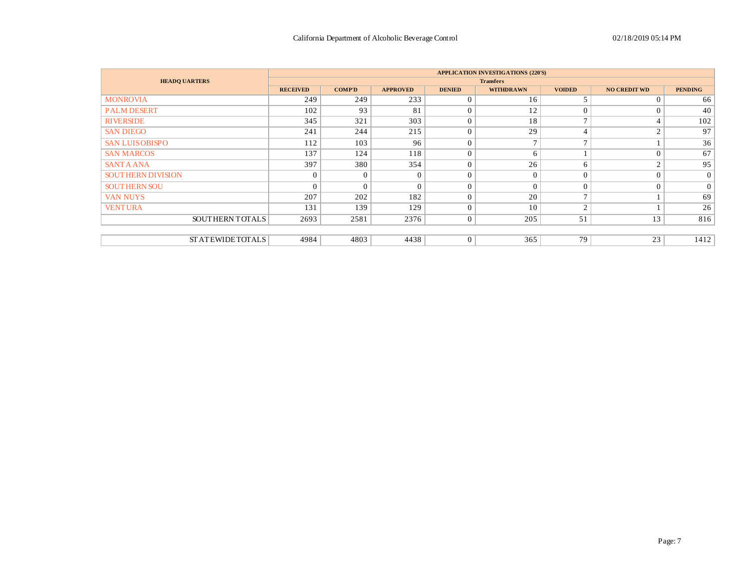|                          |                 |                |                 |                | <b>APPLICATION INVESTIGATIONS (220'S)</b> |                |                     |                |
|--------------------------|-----------------|----------------|-----------------|----------------|-------------------------------------------|----------------|---------------------|----------------|
| <b>HEADQ UARTERS</b>     |                 |                |                 |                | <b>Transfers</b>                          |                |                     |                |
|                          | <b>RECEIVED</b> | <b>COMP'D</b>  | <b>APPROVED</b> | <b>DENIED</b>  | <b>WITHDRAWN</b>                          | <b>VOIDED</b>  | <b>NO CREDIT WD</b> | <b>PENDING</b> |
| <b>MONROVIA</b>          | 249             | 249            | 233             | $\Omega$       | 16                                        |                | $\Omega$            | 66             |
| <b>PALM DESERT</b>       | 102             | 93             | 81              | $\Omega$       | 12                                        | 0              | $\Omega$            | 40             |
| <b>RIVERSIDE</b>         | 345             | 321            | 303             | $\Omega$       | 18                                        | $\mathbf{r}$   | 4                   | 102            |
| <b>SAN DIEGO</b>         | 241             | 244            | 215             | $\Omega$       | 29                                        | 4              | $\overline{c}$      | 97             |
| <b>SAN LUISOBISPO</b>    | 112             | 103            | 96              | $\Omega$       | $\mathbf{r}$                              | $\overline{ }$ |                     | 36             |
| <b>SAN MARCOS</b>        | 137             | 124            | 118             | $\Omega$       | 6                                         |                | $\theta$            | 67             |
| <b>SANTA ANA</b>         | 397             | 380            | 354             | $\Omega$       | 26                                        | 6              | 2                   | 95             |
| <b>SOUTHERN DIVISION</b> | $\mathbf{0}$    | $\overline{0}$ | $\Omega$        | $\Omega$       | $\Omega$                                  | $\Omega$       | $\theta$            | $\overline{0}$ |
| <b>SOUTHERN SOU</b>      | $\overline{0}$  | $\theta$       | $\Omega$        | $\Omega$       | $\Omega$                                  | $\Omega$       | $\mathbf{0}$        | $\overline{0}$ |
| <b>VAN NUYS</b>          | 207             | 202            | 182             | $\Omega$       | 20                                        | $\mathbf{r}$   |                     | 69             |
| <b>VENTURA</b>           | 131             | 139            | 129             | $\Omega$       | 10                                        | $\sim$         |                     | 26             |
| SOUTHERN TOTALS          | 2693            | 2581           | 2376            | $\overline{0}$ | 205                                       | 51             | 13                  | 816            |
|                          |                 |                |                 |                |                                           |                |                     |                |
| <b>STATEWIDETOTALS</b>   | 4984            | 4803           | 4438            | $\overline{0}$ | 365                                       | 79             | 23                  | 1412           |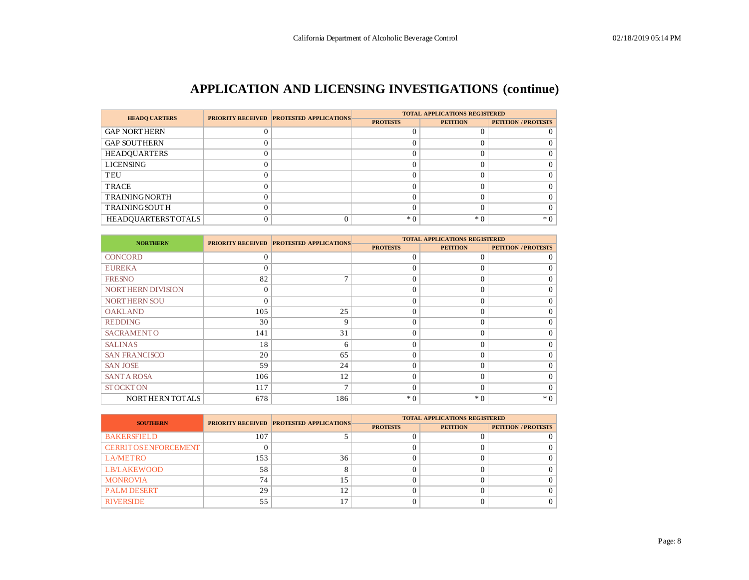# **APPLICATION AND LICENSING INVESTIGATIONS (continue)**

| <b>HEADO UARTERS</b>      | <b>PRIORITY RECEIVED PROTESTED APPLICATIONS</b> | <b>TOTAL APPLICATIONS REGISTERED</b> |                 |                            |  |  |  |
|---------------------------|-------------------------------------------------|--------------------------------------|-----------------|----------------------------|--|--|--|
|                           |                                                 | <b>PROTESTS</b>                      | <b>PETITION</b> | <b>PETITION / PROTESTS</b> |  |  |  |
| <b>GAP NORTHERN</b>       |                                                 |                                      |                 |                            |  |  |  |
| <b>GAP SOUTHERN</b>       |                                                 |                                      |                 |                            |  |  |  |
| <b>HEADQUARTERS</b>       |                                                 |                                      |                 |                            |  |  |  |
| <b>LICENSING</b>          |                                                 |                                      |                 |                            |  |  |  |
| TEU                       |                                                 |                                      |                 |                            |  |  |  |
| <b>TRACE</b>              |                                                 |                                      |                 |                            |  |  |  |
| <b>TRAININGNORTH</b>      |                                                 |                                      |                 |                            |  |  |  |
| <b>TRAINING SOUTH</b>     |                                                 |                                      |                 |                            |  |  |  |
| <b>HEADOUARTERSTOTALS</b> |                                                 | $*$ 0                                | $*$ 0           | $*0$                       |  |  |  |

| <b>NORTHERN</b>          |          | <b>PRIORITY RECEIVED PROTESTED APPLICATIONS</b> |                 | <b>TOTAL APPLICATIONS REGISTERED</b> |                            |
|--------------------------|----------|-------------------------------------------------|-----------------|--------------------------------------|----------------------------|
|                          |          |                                                 | <b>PROTESTS</b> | <b>PETITION</b>                      | <b>PETITION / PROTESTS</b> |
| <b>CONCORD</b>           | $\Omega$ |                                                 | $\Omega$        | $\Omega$                             | $\theta$                   |
| <b>EUREKA</b>            | $\Omega$ |                                                 | $\Omega$        | $\theta$                             | $\Omega$                   |
| <b>FRESNO</b>            | 82       | $\mathcal{I}$                                   | $\Omega$        | $\Omega$                             | $\Omega$                   |
| <b>NORTHERN DIVISION</b> | 0        |                                                 | $\Omega$        | $\Omega$                             | $\Omega$                   |
| <b>NORTHERN SOU</b>      | $\Omega$ |                                                 | $\Omega$        | $\Omega$                             | $\Omega$                   |
| <b>OAKLAND</b>           | 105      | 25                                              | $\Omega$        | $\Omega$                             | $\Omega$                   |
| <b>REDDING</b>           | 30       | 9                                               | $\Omega$        | $\Omega$                             | $\Omega$                   |
| <b>SACRAMENTO</b>        | 141      | 31                                              | $\Omega$        | $\Omega$                             | $\Omega$                   |
| <b>SALINAS</b>           | 18       | 6                                               | $\Omega$        | $\Omega$                             | $\Omega$                   |
| <b>SAN FRANCISCO</b>     | 20       | 65                                              | $\Omega$        | $\theta$                             | $\Omega$                   |
| <b>SAN JOSE</b>          | 59       | 24                                              | $\Omega$        | $\Omega$                             | $\Omega$                   |
| <b>SANT A ROSA</b>       | 106      | 12                                              | $\Omega$        | $\Omega$                             | $\Omega$                   |
| <b>STOCKTON</b>          | 117      | 7                                               | $\Omega$        | $\theta$                             | $\Omega$                   |
| NORTHERN TOTALS          | 678      | 186                                             | $*0$            | $*0$                                 | $*0$                       |

| <b>SOUTHERN</b>              |     | <b>PRIORITY RECEIVED PROTESTED APPLICATIONS</b> | <b>TOTAL APPLICATIONS REGISTERED</b> |                 |                            |  |  |  |  |
|------------------------------|-----|-------------------------------------------------|--------------------------------------|-----------------|----------------------------|--|--|--|--|
|                              |     |                                                 | <b>PROTESTS</b>                      | <b>PETITION</b> | <b>PETITION / PROTESTS</b> |  |  |  |  |
| <b>BAKERSFIELD</b>           | 107 |                                                 |                                      |                 |                            |  |  |  |  |
| <b>CERRIT OS ENFORCEMENT</b> |     |                                                 |                                      |                 |                            |  |  |  |  |
| <b>LA/METRO</b>              | 153 | 36                                              |                                      |                 |                            |  |  |  |  |
| <b>LB/LAKEWOOD</b>           | 58  |                                                 |                                      |                 |                            |  |  |  |  |
| <b>MONROVIA</b>              | 74  | 15                                              |                                      |                 |                            |  |  |  |  |
| <b>PALM DESERT</b>           | 29  | 12                                              |                                      |                 |                            |  |  |  |  |
| <b>RIVERSIDE</b>             | 55  | 17                                              |                                      |                 |                            |  |  |  |  |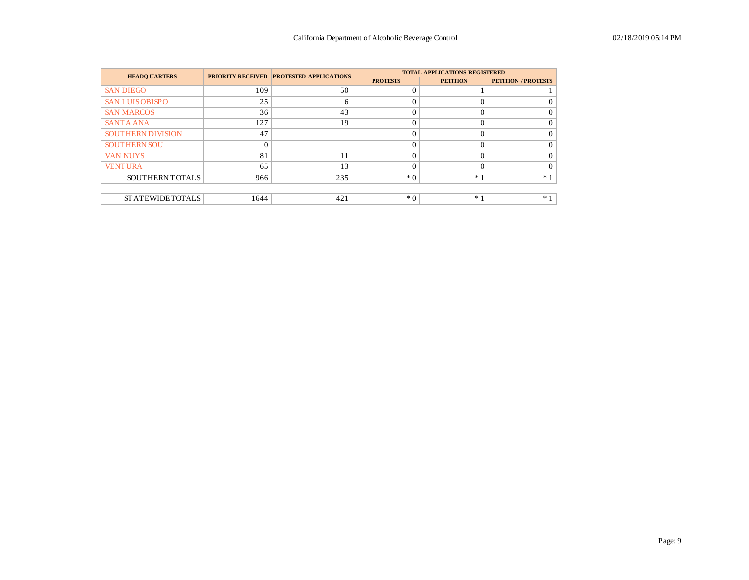| <b>HEADO UARTERS</b>     |      | <b>PRIORITY RECEIVED PROTESTED APPLICATIONS</b> |                 | <b>TOTAL APPLICATIONS REGISTERED</b> |                            |
|--------------------------|------|-------------------------------------------------|-----------------|--------------------------------------|----------------------------|
|                          |      |                                                 | <b>PROTESTS</b> | <b>PETITION</b>                      | <b>PETITION / PROTESTS</b> |
| <b>SAN DIEGO</b>         | 109  | 50                                              |                 |                                      |                            |
| <b>SAN LUISOBISPO</b>    | 25   | 6                                               |                 | $\Omega$                             |                            |
| <b>SAN MARCOS</b>        | 36   | 43                                              |                 | $\theta$                             |                            |
| <b>SANTA ANA</b>         | 127  | 19                                              |                 | $\theta$                             |                            |
| <b>SOUTHERN DIVISION</b> | 47   |                                                 |                 | $\Omega$                             |                            |
| <b>SOUTHERN SOU</b>      |      |                                                 |                 | $\Omega$                             |                            |
| <b>VAN NUYS</b>          | 81   | 11                                              |                 | $\Omega$                             |                            |
| <b>VENTURA</b>           | 65   | 13                                              |                 | $\Omega$                             |                            |
| SOUTHERN TOTALS          | 966  | 235                                             | $*$ 0           | $*1$                                 | $*1$                       |
|                          |      |                                                 |                 |                                      |                            |
| <b>STATEWIDETOTALS</b>   | 1644 | 421                                             | $*$ 0           | $*1$                                 | $*1$                       |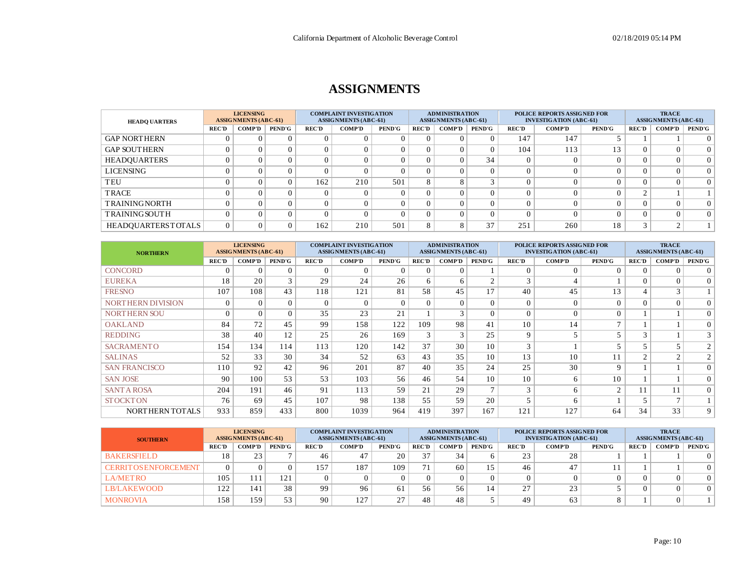### **ASSIGNMENTS**

| <b>HEADQ UARTERS</b>      |              | <b>LICENSING</b><br><b>ASSIGNMENTS (ABC-61)</b> |               | <b>COMPLAINT INVESTIGATION</b><br><b>ASSIGNMENTS (ABC-61)</b> |               |               | <b>ADMINISTRATION</b><br><b>ASSIGNMENTS (ABC-61)</b> |               |               | <b>POLICE REPORTS ASSIGNED FOR</b><br><b>INVESTIGATION (ABC-61)</b> |               |               |              | <b>TRACE</b><br><b>ASSIGNMENTS (ABC-61)</b> |               |  |
|---------------------------|--------------|-------------------------------------------------|---------------|---------------------------------------------------------------|---------------|---------------|------------------------------------------------------|---------------|---------------|---------------------------------------------------------------------|---------------|---------------|--------------|---------------------------------------------|---------------|--|
|                           | <b>REC'D</b> | <b>COMP'D</b>                                   | <b>PEND'G</b> | <b>REC'D</b>                                                  | <b>COMP'D</b> | <b>PEND'G</b> | <b>REC'D</b>                                         | <b>COMP'D</b> | <b>PEND'G</b> | <b>REC'D</b>                                                        | <b>COMP'D</b> | <b>PEND'G</b> | <b>REC'D</b> | <b>COMP'D</b>                               | <b>PEND'G</b> |  |
| <b>GAP NORTHERN</b>       |              |                                                 |               |                                                               |               |               |                                                      |               |               | 147                                                                 | 147           |               |              |                                             | $\Omega$      |  |
| <b>GAP SOUTHERN</b>       |              |                                                 |               |                                                               |               |               |                                                      |               | 0             | 104                                                                 | 113           | 13            |              |                                             | $\Omega$      |  |
| <b>HEADQUARTERS</b>       |              |                                                 |               |                                                               | $\Omega$      |               |                                                      |               | 34            | $\Omega$                                                            | $\Omega$      |               |              |                                             | $\Omega$      |  |
| LICENSING                 |              |                                                 |               |                                                               | $\Omega$      |               |                                                      |               | $\Omega$      |                                                                     |               |               |              |                                             | $\Omega$      |  |
| TEU                       |              |                                                 |               | 162                                                           | 210           | 501           | 8                                                    |               |               |                                                                     |               |               |              |                                             | $\Omega$      |  |
| <b>TRACE</b>              |              |                                                 |               |                                                               | $\Omega$      |               |                                                      |               | 0             |                                                                     |               |               | $\sim$       |                                             |               |  |
| <b>TRAININGNORTH</b>      |              |                                                 |               |                                                               | $\Omega$      |               |                                                      |               | $\Omega$      |                                                                     |               |               |              |                                             | $\Omega$      |  |
| <b>TRAINING SOUTH</b>     |              |                                                 |               |                                                               | $\Omega$      |               |                                                      |               | $\Omega$      |                                                                     |               |               |              |                                             | $\Omega$      |  |
| <b>HEADOUARTERSTOTALS</b> |              |                                                 |               | 162                                                           | 210           | 501           | δ.                                                   | ◠             | 37            | 251                                                                 | 260           | 18            | $\sim$       |                                             |               |  |

| <b>NORTHERN</b>          |              | <b>LICENSING</b><br><b>ASSIGNMENTS (ABC-61)</b> |               |              | <b>COMPLAINT INVESTIGATION</b><br><b>ASSIGNMENTS (ABC-61)</b> |               |              | <b>ADMINISTRATION</b><br><b>ASSIGNMENTS (ABC-61)</b> |                |              | <b>POLICE REPORTS ASSIGNED FOR</b><br><b>INVESTIGATION (ABC-61)</b> |                | <b>TRACE</b><br><b>ASSIGNMENTS (ABC-61)</b> |                |                |
|--------------------------|--------------|-------------------------------------------------|---------------|--------------|---------------------------------------------------------------|---------------|--------------|------------------------------------------------------|----------------|--------------|---------------------------------------------------------------------|----------------|---------------------------------------------|----------------|----------------|
|                          | <b>REC'D</b> | <b>COMP'D</b>                                   | <b>PEND'G</b> | <b>REC'D</b> | <b>COMP'D</b>                                                 | <b>PEND'G</b> | <b>REC'D</b> | <b>COMP'D</b>                                        | <b>PEND'G</b>  | <b>REC'D</b> | <b>COMP'D</b>                                                       | <b>PEND'G</b>  | <b>REC'D</b>                                | <b>COMP'D</b>  | <b>PEND'G</b>  |
| <b>CONCORD</b>           | $\sqrt{ }$   |                                                 |               | $\Omega$     | $\Omega$                                                      | $\Omega$      | 0            | 0                                                    |                | $\Omega$     | $\Omega$                                                            |                | $\Omega$                                    | $\Omega$       | $\Omega$       |
| <b>EUREKA</b>            | 18           | 20                                              | 3             | 29           | 24                                                            | 26            | 6            | 6                                                    | $\sim$         | 3            |                                                                     |                | $\Omega$                                    | $\theta$       | 0 <sup>1</sup> |
| <b>FRESNO</b>            | 107          | 108                                             | 43            | 118          | 121                                                           | 81            | 58           | 45                                                   | 17             | 40           | 45                                                                  | 13             | $\overline{4}$                              | $\bigcirc$     |                |
| <b>NORTHERN DIVISION</b> | $\Omega$     | $\Omega$                                        | $\Omega$      | $\Omega$     | $\Omega$                                                      | $\Omega$      | $\Omega$     | $\Omega$                                             | $\Omega$       | $\Omega$     | $\Omega$                                                            |                | $\Omega$                                    | $\Omega$       | $\Omega$       |
| <b>NORTHERN SOU</b>      | $\Omega$     | $\Omega$                                        | $\Omega$      | 35           | 23                                                            | 21            |              | 3                                                    | $\Omega$       | $\Omega$     | $\Omega$                                                            |                |                                             |                | $\Omega$       |
| <b>OAKLAND</b>           | 84           | 72                                              | 45            | 99           | 158                                                           | 122           | 109          | 98                                                   | 41             | 10           | 14                                                                  | $\overline{ }$ |                                             |                | $\overline{0}$ |
| <b>REDDING</b>           | 38           | 40                                              | 12            | 25           | 26                                                            | 169           | 3            | 3                                                    | 25             | 9            |                                                                     |                | $\mathbf{3}$                                |                | $\overline{3}$ |
| <b>SACRAMENTO</b>        | 154          | 134                                             | 114           | 113          | 120                                                           | 142           | 37           | 30                                                   | 10             | 3            |                                                                     |                |                                             | 5              | $\overline{2}$ |
| <b>SALINAS</b>           | 52           | 33                                              | 30            | 34           | 52                                                            | 63            | 43           | 35                                                   | 10             | 13           | 10                                                                  |                | $\gamma$                                    | $\sim$         | $\overline{c}$ |
| <b>SAN FRANCISCO</b>     | 110          | 92                                              | 42            | 96           | 201                                                           | 87            | 40           | 35                                                   | 24             | 25           | 30                                                                  | $\Omega$       |                                             |                | $\overline{0}$ |
| <b>SAN JOSE</b>          | 90           | 100                                             | 53            | 53           | 103                                                           | 56            | 46           | 54                                                   | 10             | 10           | 6                                                                   | 10             |                                             |                | $\Omega$       |
| <b>SANT A ROSA</b>       | 204          | 191                                             | 46            | 91           | 113                                                           | 59            | 21           | 29                                                   | $\overline{ }$ | 3            | 6                                                                   | $\sim$         | 11                                          | 11             | 0 <sup>1</sup> |
| <b>STOCKTON</b>          | 76           | 69                                              | 45            | 107          | 98                                                            | 138           | 55           | 59                                                   | 20             | 5            | 6                                                                   |                | 5                                           | $\overline{ }$ |                |
| NORTHERN TOTALS          | 933          | 859                                             | 433           | 800          | 1039                                                          | 964           | 419          | 397                                                  | 167            | 121          | 127                                                                 | 64             | 34                                          | 33             | 9 <sup>1</sup> |

| <b>SOUTHERN</b>              | <b>LICENSING</b><br><b>ASSIGNMENTS (ABC-61)</b> |               |                 | <b>COMPLAINT INVESTIGATION</b><br><b>ASSIGNMENTS (ABC-61)</b> |               |               | <b>ADMINISTRATION</b><br><b>ASSIGNMENTS (ABC-61)</b> |               |                | <b>POLICE REPORTS ASSIGNED FOR</b><br><b>INVESTIGATION (ABC-61)</b> |               |               |              | <b>TRACE</b><br><b>ASSIGNMENTS (ABC-61)</b> |               |  |
|------------------------------|-------------------------------------------------|---------------|-----------------|---------------------------------------------------------------|---------------|---------------|------------------------------------------------------|---------------|----------------|---------------------------------------------------------------------|---------------|---------------|--------------|---------------------------------------------|---------------|--|
|                              | <b>REC'D</b>                                    | <b>COMP'D</b> | <b>PEND'G</b>   | <b>REC'D</b>                                                  | <b>COMP'D</b> | <b>PEND'G</b> | <b>REC'D</b>                                         | <b>COMP'D</b> | <b>PEND'G</b>  | <b>REC'D</b>                                                        | <b>COMP'D</b> | <b>PEND'G</b> | <b>REC'D</b> | <b>COMP'D</b>                               | <b>PEND'G</b> |  |
| <b>BAKERSFIELD</b>           |                                                 | 23            |                 | 46                                                            |               | 20            | 37                                                   | 34            |                | 23                                                                  | 28            |               |              |                                             |               |  |
| <b>CERRIT OS ENFORCEMENT</b> |                                                 |               |                 | 157                                                           | 187           | 109           | 71                                                   | 60            |                | 46                                                                  | 47            |               |              |                                             |               |  |
| LA/METRO                     | 105                                             |               | 12 <sub>i</sub> |                                                               |               |               |                                                      |               |                |                                                                     |               |               |              |                                             | 0             |  |
| <b>LB/LAKEWOOD</b>           | 1 າ າ<br>144                                    | 141           | 38              | 99                                                            | 96            | 61            | 56                                                   | 56            | $\overline{4}$ | 27                                                                  | 23            |               |              |                                             |               |  |
| <b>MONROVIA</b>              | 158                                             | 159           | 53              | 90                                                            | 127           | $\mathcal{L}$ | 48                                                   | 48            |                | 49                                                                  | 63            |               |              |                                             |               |  |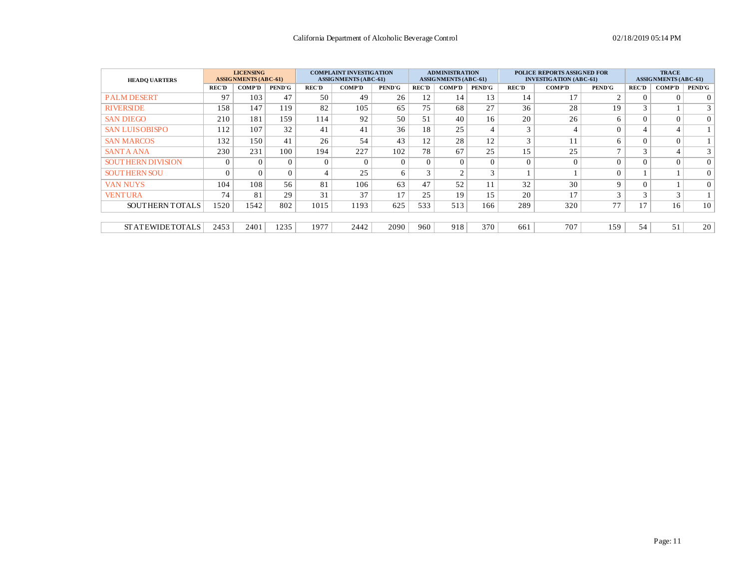| <b>HEADO UARTERS</b>      |              | <b>LICENSING</b><br><b>ASSIGNMENTS (ABC-61)</b> |               |              | <b>COMPLAINT INVESTIGATION</b><br><b>ASSIGNMENTS (ABC-61)</b> |               |              | <b>ADMINISTRATION</b><br><b>ASSIGNMENTS (ABC-61)</b> |               |                | <b>POLICE REPORTS ASSIGNED FOR</b><br><b>INVESTIGATION (ABC-61)</b> |                | <b>TRACE</b><br><b>ASSIGNMENTS (ABC-61)</b> |                |                 |
|---------------------------|--------------|-------------------------------------------------|---------------|--------------|---------------------------------------------------------------|---------------|--------------|------------------------------------------------------|---------------|----------------|---------------------------------------------------------------------|----------------|---------------------------------------------|----------------|-----------------|
|                           | <b>REC'D</b> | <b>COMP'D</b>                                   | <b>PEND'G</b> | <b>REC'D</b> | <b>COMP'D</b>                                                 | <b>PEND'G</b> | <b>REC'D</b> | <b>COMP'D</b>                                        | <b>PEND'G</b> | <b>REC'D</b>   | <b>COMP'D</b>                                                       | <b>PEND'G</b>  | <b>REC'D</b>                                | <b>COMP'D</b>  | PEND'G          |
| <b>PALM DESERT</b>        | 97           | 103                                             | 47            | 50           | 49                                                            | 26            | 12           | 14                                                   | 13            | 14             | 17                                                                  | $\sim$         | $\Omega$                                    | $\Omega$       | 0 <sup>1</sup>  |
| <b>RIVERSIDE</b>          | 158          | 147                                             | 119           | 82           | 105                                                           | 65            | 75           | 68                                                   | 27            | 36             | 28                                                                  | 19             | 3                                           |                | 3 <sup>1</sup>  |
| <b>SAN DIEGO</b>          | 210          | 181                                             | 159           | 114          | 92                                                            | 50            | 51           | 40                                                   | 16            | 20             | 26                                                                  | 6              | $\Omega$                                    | $\overline{0}$ | $\overline{0}$  |
| <b>SAN LUISOBISPO</b>     | 112          | 107                                             | 32            | 41           | 41                                                            | 36            | 18           | 25                                                   |               | 3              |                                                                     |                |                                             | 4              |                 |
| <b>SAN MARCOS</b>         | 132          | 150                                             | 41            | 26           | 54                                                            | 43            | 12           | 28                                                   | 12            | 3              | 11                                                                  |                | $\Omega$                                    | $\theta$       | 1 <sup>1</sup>  |
| <b>SANTA ANA</b>          | 230          | 231                                             | 100           | 194          | 227                                                           | 102           | 78           | 67                                                   | 25            | 15             | 25                                                                  | $\overline{ }$ | 3                                           | $\overline{4}$ | 3 <sup>1</sup>  |
| <b>SOUT HERN DIVISION</b> | $\Omega$     |                                                 | $\Omega$      | $\Omega$     | $\Omega$                                                      | $\Omega$      | 0            | $\Omega$                                             | $\Omega$      | $\overline{0}$ | $\Omega$                                                            |                | $\Omega$                                    | $\theta$       | $\overline{0}$  |
| <b>SOUTHERN SOU</b>       | $\Omega$     |                                                 | $\Omega$      |              | 25                                                            | 6             | 3            | $\sim$                                               | $\mathcal{R}$ |                |                                                                     |                |                                             |                | $\Omega$        |
| <b>VAN NUYS</b>           | 104          | 108                                             | 56            | 81           | 106                                                           | 63            | 47           | 52                                                   | 11            | 32             | 30                                                                  | $\mathbf Q$    | $\Omega$                                    |                | $\Omega$        |
| <b>VENTURA</b>            | 74           | 81                                              | 29            | 31           | 37                                                            | 17            | 25           | 19                                                   | 15            | 20             | 17                                                                  | $\sim$         | $\sim$                                      | 3              |                 |
| SOUTHERN TOTALS           | 1520         | 1542                                            | 802           | 1015         | 1193                                                          | 625           | 533          | 513                                                  | 166           | 289            | 320                                                                 | 77             | 17                                          | 16             | 10 <sup>1</sup> |
|                           |              |                                                 |               |              |                                                               |               |              |                                                      |               |                |                                                                     |                |                                             |                |                 |
| STATEWIDETOTALS           | 2453         | 2401                                            | 1235          | 1977         | 2442                                                          | 2090          | 960          | 918                                                  | 370           | 661            | 707                                                                 | 159            | 54                                          | 51             | 20 <sup>1</sup> |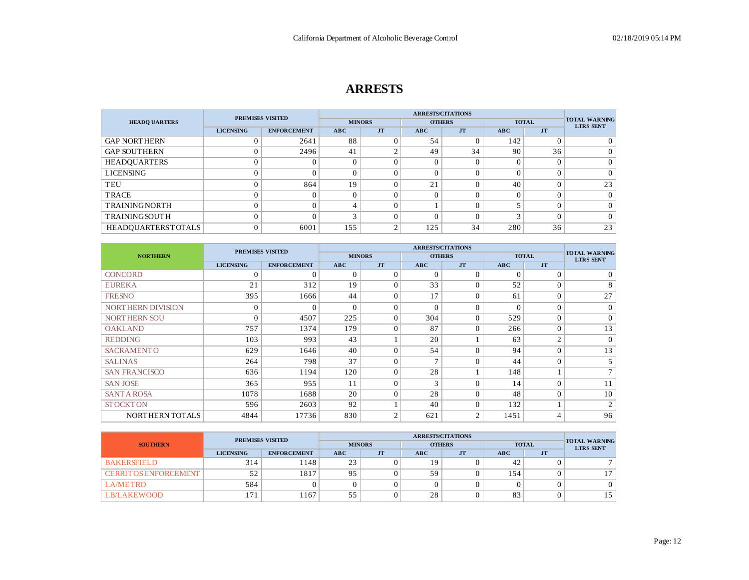# **ARRESTS**

|                           | <b>PREMISES VISITED</b> |                    |          |               | <b>ARRESTS/CITATIONS</b> |                |        |              |                                          |
|---------------------------|-------------------------|--------------------|----------|---------------|--------------------------|----------------|--------|--------------|------------------------------------------|
| <b>HEADO UARTERS</b>      |                         |                    |          | <b>MINORS</b> |                          | <b>OTHERS</b>  |        | <b>TOTAL</b> | <b>TOTAL WARNING</b><br><b>LTRS SENT</b> |
|                           | <b>LICENSING</b>        | <b>ENFORCEMENT</b> | ABC      | <b>JT</b>     | ABC                      | <b>JT</b>      | ABC    | <b>JT</b>    |                                          |
| <b>GAP NORTHERN</b>       | 0                       | 2641               | 88       |               | 54                       |                | 142    |              |                                          |
| <b>GAP SOUTHERN</b>       | $\overline{0}$          | 2496               | 41       | $\sim$        | 49                       | 34             | 90     | 36           | 0                                        |
| <b>HEADQUARTERS</b>       | $\theta$                |                    |          |               |                          |                | 0      |              | 0                                        |
| <b>LICENSING</b>          | $\theta$                |                    |          |               |                          |                |        |              | $\Omega$                                 |
| TEU                       | $\overline{0}$          | 864                | 19       | $\Omega$      | 21                       |                | 40     |              | 23                                       |
| <b>TRACE</b>              | $\theta$                |                    | $\Omega$ |               |                          |                |        |              | $\Omega$                                 |
| <b>TRAININGNORTH</b>      | $\theta$                |                    | $\Delta$ | $\Omega$      |                          | $\overline{0}$ |        | $\Omega$     | $\Omega$                                 |
| <b>TRAININGSOUTH</b>      | $\overline{0}$          |                    | $\sim$   | $\Omega$      |                          |                | $\sim$ | $\Omega$     | $\Omega$                                 |
| <b>HEADOUARTERSTOTALS</b> | $\mathbf{0}$            | 6001               | 155      | $\sim$        | 125                      | 34             | 280    | 36           | 23                                       |

|                          | <b>PREMISES VISITED</b> |                    |               | <b>ARRESTS/CITATIONS</b> |               |                |            |                |                                          |
|--------------------------|-------------------------|--------------------|---------------|--------------------------|---------------|----------------|------------|----------------|------------------------------------------|
| <b>NORTHERN</b>          |                         |                    | <b>MINORS</b> |                          | <b>OTHERS</b> |                |            | <b>TOTAL</b>   | <b>TOTAL WARNING</b><br><b>LTRS SENT</b> |
|                          | <b>LICENSING</b>        | <b>ENFORCEMENT</b> | ABC           | <b>JT</b>                | <b>ABC</b>    | <b>JT</b>      | <b>ABC</b> | <b>JT</b>      |                                          |
| <b>CONCORD</b>           | 0                       | 0                  | $\Omega$      | $\Omega$                 | $\Omega$      | $\Omega$       | $\Omega$   | $\Omega$       | $\overline{0}$                           |
| <b>EUREKA</b>            | 21                      | 312                | 19            | $\theta$                 | 33            | $\Omega$       | 52         | $\Omega$       | 8                                        |
| <b>FRESNO</b>            | 395                     | 1666               | 44            | $\Omega$                 | 17            | $\Omega$       | 61         | $\Omega$       | 27                                       |
| <b>NORTHERN DIVISION</b> | $\mathbf{0}$            | $\Omega$           | $\Omega$      | $\Omega$                 | $\Omega$      | $\Omega$       | $\Omega$   | $\Omega$       | $\overline{0}$                           |
| <b>NORTHERN SOU</b>      | $\Omega$                | 4507               | 225           | $\Omega$                 | 304           | $\Omega$       | 529        | $\Omega$       | $\overline{0}$                           |
| <b>OAKLAND</b>           | 757                     | 1374               | 179           | $\Omega$                 | 87            | $\Omega$       | 266        | $\Omega$       | 13 <sup>1</sup>                          |
| <b>REDDING</b>           | 103                     | 993                | 43            |                          | 20            |                | 63         | $\overline{2}$ | $\vert$ 0 $\vert$                        |
| <b>SACRAMENTO</b>        | 629                     | 1646               | 40            | $\Omega$                 | 54            | $\Omega$       | 94         | $\Omega$       | 13                                       |
| <b>SALINAS</b>           | 264                     | 798                | 37            | $\Omega$                 | $\mathcal{L}$ | $\theta$       | 44         | $\Omega$       | 5 <sup>1</sup>                           |
| <b>SAN FRANCISCO</b>     | 636                     | 1194               | 120           | $\theta$                 | 28            |                | 148        |                | 7 <sup>1</sup>                           |
| <b>SAN JOSE</b>          | 365                     | 955                | 11            | $\theta$                 | 3             | $\theta$       | 14         | $\Omega$       | 11                                       |
| <b>SANT A ROSA</b>       | 1078                    | 1688               | 20            | $\Omega$                 | 28            | $\Omega$       | 48         | $\Omega$       | 10                                       |
| <b>STOCKTON</b>          | 596                     | 2603               | 92            |                          | 40            | $\Omega$       | 132        |                | $\overline{2}$                           |
| NORTHERN TOTALS          | 4844                    | 17736              | 830           | $\overline{2}$           | 621           | $\overline{2}$ | 1451       | $\overline{4}$ | 96                                       |

|                              | <b>PREMISES VISITED</b>                |      |            |                |            |               |     |              |                                          |  |
|------------------------------|----------------------------------------|------|------------|----------------|------------|---------------|-----|--------------|------------------------------------------|--|
| <b>SOUTHERN</b>              |                                        |      |            | <b>MINORS</b>  |            | <b>OTHERS</b> |     | <b>TOTAL</b> | <b>TOTAL WARNING</b><br><b>LTRS SENT</b> |  |
|                              | <b>LICENSING</b><br><b>ENFORCEMENT</b> |      | <b>ABC</b> | J <sub>T</sub> | <b>ABC</b> | <b>JT</b>     | ABC | JT           |                                          |  |
| <b>BAKERSFIELD</b>           | 314                                    | 148  | 23         |                | 19         |               | 42  |              |                                          |  |
| <b>CERRIT OS ENFORCEMENT</b> | 52                                     | 1817 | 95         |                | 59         |               | 154 |              |                                          |  |
| <b>LA/METRO</b>              | 584                                    |      |            |                |            |               |     |              |                                          |  |
| LB/LAKEWOOD                  | l 71                                   | 167  | 55         |                | 28         |               | 83  |              | 15 <sup>1</sup>                          |  |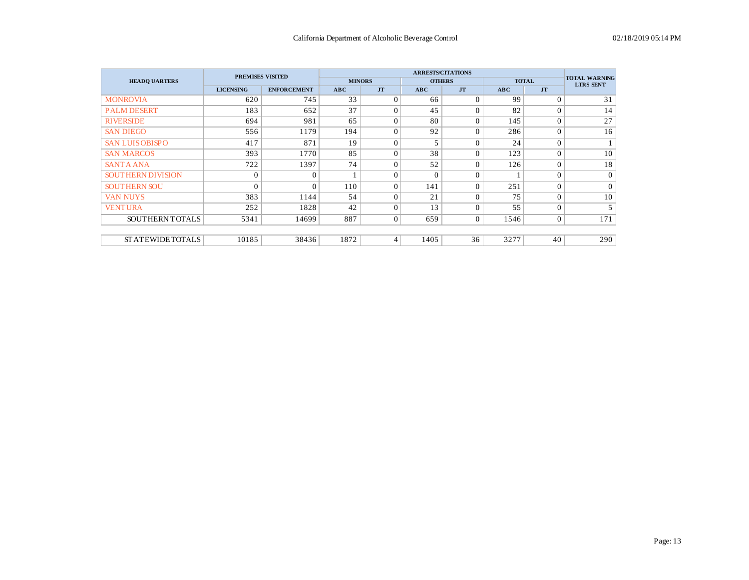|                          |                  | <b>PREMISES VISITED</b> |               |                |          | <b>ARRESTS/CITATIONS</b> |            |                | <b>TOTAL WARNING</b> |
|--------------------------|------------------|-------------------------|---------------|----------------|----------|--------------------------|------------|----------------|----------------------|
| <b>HEADQ UARTERS</b>     |                  |                         | <b>MINORS</b> |                |          | <b>OTHERS</b>            |            | <b>TOTAL</b>   | <b>LTRS SENT</b>     |
|                          | <b>LICENSING</b> | <b>ENFORCEMENT</b>      | ABC           | <b>JT</b>      | ABC      | <b>JT</b>                | <b>ABC</b> | <b>JT</b>      |                      |
| <b>MONROVIA</b>          | 620              | 745                     | 33            | $\Omega$       | 66       | $\theta$                 | 99         | $\Omega$       | 31                   |
| <b>PALM DESERT</b>       | 183              | 652                     | 37            | $\Omega$       | 45       | $\Omega$                 | 82         | $\mathbf{0}$   | 14                   |
| <b>RIVERSIDE</b>         | 694              | 981                     | 65            | $\Omega$       | 80       | $\Omega$                 | 145        | $\overline{0}$ | 27                   |
| <b>SAN DIEGO</b>         | 556              | 1179                    | 194           | $\Omega$       | 92       | $\Omega$                 | 286        | $\mathbf{0}$   | 16                   |
| <b>SAN LUISOBISPO</b>    | 417              | 871                     | 19            | $\Omega$       | 5        | $\Omega$                 | 24         | $\mathbf{0}$   |                      |
| <b>SAN MARCOS</b>        | 393              | 1770                    | 85            | $\Omega$       | 38       | $\Omega$                 | 123        | $\overline{0}$ | 10                   |
| <b>SANTA ANA</b>         | 722              | 1397                    | 74            | $\Omega$       | 52       | $\Omega$                 | 126        | $\mathbf{0}$   | 18                   |
| <b>SOUTHERN DIVISION</b> | $\mathbf{0}$     | $\Omega$                |               | $\Omega$       | $\Omega$ | $\theta$                 |            | $\overline{0}$ | $\Omega$             |
| <b>SOUTHERN SOU</b>      | $\Omega$         | $\Omega$                | 110           | $\Omega$       | 141      | $\Omega$                 | 251        | $\mathbf{0}$   | $\Omega$             |
| <b>VAN NUYS</b>          | 383              | 1144                    | 54            | $\Omega$       | 21       | $\theta$                 | 75         | $\overline{0}$ | 10                   |
| <b>VENTURA</b>           | 252              | 1828                    | 42            | $\Omega$       | 13       | $\Omega$                 | 55         | $\overline{0}$ | 5                    |
| SOUTHERN TOTALS          | 5341             | 14699                   | 887           | $\mathbf{0}$   | 659      | $\mathbf{0}$             | 1546       | $\overline{0}$ | 171                  |
|                          |                  |                         |               |                |          |                          |            |                |                      |
| <b>STATEWIDETOTALS</b>   | 10185            | 38436                   | 1872          | $\overline{4}$ | 1405     | 36                       | 3277       | 40             | 290                  |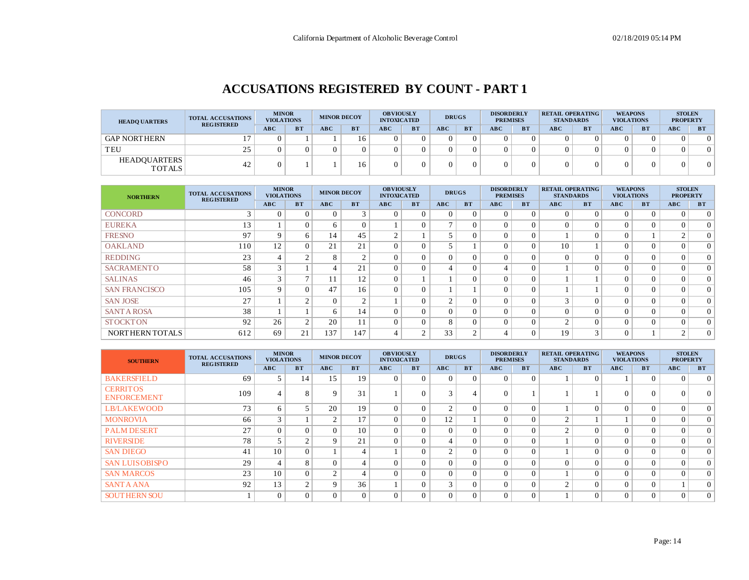# **ACCUSATIONS REGISTERED BY COUNT - PART 1**

| <b>HEADO UARTERS</b>                 | <b>TOTAL ACCUSATIONS</b><br><b>REGISTERED</b> | <b>MINOR</b><br><b>VIOLATIONS</b> |           | <b>MINOR DECOY</b> |              | <b>OBVIOUSLY</b><br><b>INTOXICATED</b> |           |     | <b>DRUGS</b> | <b>DISORDERLY</b><br><b>PREMISES</b> |           | <b>RETAIL OPERATING</b><br><b>STANDARDS</b> |           | <b>WEAPONS</b><br><b>VIOLATIONS</b> |           | <b>STOLEN</b><br><b>PROPERTY</b> |           |
|--------------------------------------|-----------------------------------------------|-----------------------------------|-----------|--------------------|--------------|----------------------------------------|-----------|-----|--------------|--------------------------------------|-----------|---------------------------------------------|-----------|-------------------------------------|-----------|----------------------------------|-----------|
|                                      |                                               | <b>ABC</b>                        | <b>BT</b> | ABC                | B T          | ABC                                    | <b>BT</b> | ABC | <b>BT</b>    | ABC                                  | <b>BT</b> | ABC                                         | <b>BT</b> | <b>ABC</b>                          | <b>BT</b> | <b>ABC</b>                       | <b>BT</b> |
| <b>GAP NORTHERN</b>                  |                                               |                                   |           |                    | 6            |                                        |           |     |              |                                      |           |                                             |           |                                     |           |                                  | $\Omega$  |
| TEU                                  | 25                                            |                                   |           |                    |              |                                        |           |     |              |                                      |           |                                             |           |                                     |           |                                  | $\Omega$  |
| <b>HEADOUARTERS</b><br><b>TOTALS</b> | 42                                            |                                   |           |                    | <sub>6</sub> |                                        |           |     |              |                                      |           |                                             |           |                                     |           |                                  | $\Omega$  |

| <b>NORTHERN</b>      | <b>TOTAL ACCUSATIONS</b><br><b>REGISTERED</b> | <b>MINOR</b><br><b>VIOLATIONS</b> |           | <b>MINOR DECOY</b> |           | <b>OBVIOUSLY</b><br><b>INTOXICATED</b> |           | <b>DRUGS</b>   |                | <b>DISORDERLY</b><br><b>PREMISES</b> |           | <b>RETAIL OPERATING</b><br><b>STANDARDS</b> |               | <b>WEAPONS</b><br><b>VIOLATIONS</b> |           | <b>STOLEN</b><br><b>PROPERTY</b> |                |
|----------------------|-----------------------------------------------|-----------------------------------|-----------|--------------------|-----------|----------------------------------------|-----------|----------------|----------------|--------------------------------------|-----------|---------------------------------------------|---------------|-------------------------------------|-----------|----------------------------------|----------------|
|                      |                                               | <b>ABC</b>                        | <b>BT</b> | ABC                | <b>BT</b> | ABC                                    | <b>BT</b> | ABC            | <b>BT</b>      | ABC                                  | <b>BT</b> | ABC                                         | <b>BT</b>     | ABC                                 | <b>BT</b> | <b>ABC</b>                       | <b>BT</b>      |
| <b>CONCORD</b>       |                                               | 0                                 |           | $\Omega$           | 3         |                                        | $\Omega$  | $\Omega$       | $\Omega$       | $\Omega$                             | $\Omega$  | $\Omega$                                    | $\Omega$      |                                     | 0         | $\Omega$                         | $\Omega$       |
| <b>EUREKA</b>        | 13                                            |                                   |           | 6                  | $\Omega$  |                                        | 0         | $\mathbf{r}$   | $\Omega$       | 0                                    | $\Omega$  | $\Omega$                                    | $\theta$      | $\theta$                            | $\Omega$  | 0                                | $\Omega$       |
| <b>FRESNO</b>        | 97                                            | 9                                 | 6         | 14                 | 45        | $\sim$<br>∠                            |           | 5              | $\Omega$       | $\Omega$                             | $\Omega$  |                                             | $\Omega$      | $\theta$                            |           |                                  | 0 <sup>1</sup> |
| <b>OAKLAND</b>       | 110                                           | 12                                | $\Omega$  | 21                 | 21        | $\Omega$                               | $\Omega$  | 5              |                | $\Omega$                             | $\Omega$  | 10                                          |               | $\theta$                            | $\Omega$  | 0                                | $\Omega$       |
| <b>REDDING</b>       | 23                                            |                                   | $\sim$    | 8                  | $\sim$    | $\overline{0}$                         | 0         | $\Omega$       | $\Omega$       | 0                                    |           | $\Omega$                                    | $\Omega$      | $\theta$                            | $\Omega$  |                                  | $\Omega$       |
| <b>SACRAMENTO</b>    | 58                                            | $\sim$                            |           | $\overline{4}$     | 21        |                                        | 0         | 4              | $\Omega$       |                                      | $\Omega$  |                                             | $\Omega$      | $\Omega$                            | 0         |                                  | $\Omega$       |
| <b>SALINAS</b>       | 46                                            | $\sim$                            |           | 11                 | 12        | $\Omega$                               |           |                | $\Omega$       | 0                                    | $\Omega$  |                                             |               | $\Omega$                            | $\Omega$  |                                  | $\Omega$       |
| <b>SAN FRANCISCO</b> | 105                                           | $\Omega$                          |           | 47                 | 16        | $\sqrt{ }$                             | $\Omega$  |                |                | $\Omega$                             | $\Omega$  |                                             |               | $\Omega$                            | 0         |                                  | $\Omega$       |
| <b>SAN JOSE</b>      | 27                                            |                                   | $\sim$    | $\mathbf{0}$       | $\gamma$  |                                        | $\Omega$  | $\overline{2}$ | $\Omega$       | 0                                    | $\Omega$  | $\mathcal{R}$                               | $\Omega$      | $\theta$                            | $\Omega$  | $\Omega$                         | $\Omega$       |
| <b>SANTA ROSA</b>    | 38                                            |                                   |           | 6                  | 14        | $\Omega$                               | $\Omega$  | $\Omega$       | $\Omega$       | $\Omega$                             |           |                                             | $\theta$      | $\Omega$                            | $\Omega$  |                                  | $\Omega$       |
| <b>STOCKTON</b>      | 92                                            | 26                                | $\sim$    | 20                 | 11        | $\Omega$                               | $\Omega$  | 8              | $\Omega$       | $\Omega$                             | $\Omega$  | $\sim$                                      | $\theta$      | $\Omega$                            | $\Omega$  | $\Omega$                         | $\Omega$       |
| NORTHERN TOTALS      | 612                                           | 69                                | 21        | 137                | 147       | $\overline{4}$                         | $\sim$    | 33             | $\overline{2}$ |                                      | $\Omega$  | 19                                          | $\mathcal{R}$ | $\theta$                            |           |                                  | $\Omega$       |

| <b>SOUTHERN</b>                       | <b>TOTAL ACCUSATIONS</b><br><b>REGISTERED</b> | <b>MINOR</b><br><b>VIOLATIONS</b> |           | <b>MINOR DECOY</b> |           | <b>OBVIOUSLY</b><br><b>INTOXICATED</b> |           | <b>DRUGS</b>       |           | <b>DISORDERLY</b><br><b>PREMISES</b> |           | <b>RETAIL OPERATING</b><br><b>STANDARDS</b> |           | <b>WEAPONS</b><br><b>VIOLATIONS</b> |           | <b>STOLEN</b><br><b>PROPERTY</b> |                |
|---------------------------------------|-----------------------------------------------|-----------------------------------|-----------|--------------------|-----------|----------------------------------------|-----------|--------------------|-----------|--------------------------------------|-----------|---------------------------------------------|-----------|-------------------------------------|-----------|----------------------------------|----------------|
|                                       |                                               | ABC                               | <b>BT</b> | ABC                | <b>BT</b> | ABC                                    | <b>BT</b> | ABC                | <b>BT</b> | <b>ABC</b>                           | <b>BT</b> | ABC                                         | <b>BT</b> | ABC                                 | <b>BT</b> | ABC                              | <b>BT</b>      |
| <b>BAKERSFIELD</b>                    | 69                                            |                                   | 14        | 15                 | 19        | $\Omega$                               | $\Omega$  | $\Omega$           | $\Omega$  | $\Omega$                             | $\Omega$  |                                             | $\Omega$  |                                     | $\Omega$  | $\Omega$                         | $\overline{0}$ |
| <b>CERRITOS</b><br><b>ENFORCEMENT</b> | 109                                           |                                   |           | 9                  | 31        |                                        |           |                    | 4         |                                      |           |                                             |           | $\theta$                            |           |                                  | $\Omega$       |
| <b>LB/LAKEWOOD</b>                    | 73                                            | 6                                 |           | 20                 | 19        | $\Omega$                               | $\Omega$  | $\sim$             | $\Omega$  | $\Omega$                             |           |                                             | $\Omega$  | $\Omega$                            | $\Omega$  |                                  | $\overline{0}$ |
| <b>MONROVIA</b>                       | 66                                            | 3                                 |           | 2                  | 17        | $\Omega$                               | $\Omega$  | 12                 |           |                                      |           |                                             |           |                                     | $\Omega$  |                                  | $\overline{0}$ |
| <b>PALM DESERT</b>                    | 27                                            | $\Omega$                          |           | $\Omega$           | 10        | $\Omega$                               | $\Omega$  | $\Omega$           | $\Omega$  | $\Omega$                             |           | $\sim$                                      | $\Omega$  | $\Omega$                            | $\Omega$  |                                  | $\overline{0}$ |
| <b>RIVERSIDE</b>                      | 78                                            |                                   |           | 9                  | 21        | $\Omega$                               | $\Omega$  | 4                  | $\Omega$  | $\Omega$                             |           |                                             | $\Omega$  | $\Omega$                            | $\Omega$  |                                  | $\overline{0}$ |
| <b>SAN DIEGO</b>                      | 41                                            | 10                                |           |                    |           |                                        | $\Omega$  | $\sim$             | $\Omega$  |                                      | $\Omega$  |                                             | $\Omega$  | $\overline{0}$                      | $\Omega$  |                                  | $\overline{0}$ |
| <b>SAN LUISOBISPO</b>                 | 29                                            |                                   | 8         | $\Omega$           | 4         | $\Omega$                               | $\Omega$  | $\Omega$           | $\theta$  | $\Omega$                             | $\Omega$  |                                             | $\Omega$  | $\theta$                            | $\Omega$  |                                  | $\overline{0}$ |
| <b>SAN MARCOS</b>                     | 23                                            | 10                                |           | $\overline{2}$     | 4         | $\Omega$                               | $\Omega$  | $\Omega$           | $\Omega$  | $\Omega$                             | $\Omega$  |                                             | $\Omega$  | $\Omega$                            | $\Omega$  |                                  | $\overline{0}$ |
| <b>SANTA ANA</b>                      | 92                                            | 13                                | $\sim$    | 9                  | 36        |                                        | $\Omega$  | $\sim$<br>$\Delta$ | $\Omega$  |                                      | $\Omega$  | $\sim$                                      | $\Omega$  | $\Omega$                            | $\Omega$  |                                  | $\Omega$       |
| <b>SOUTHERN SOU</b>                   |                                               | $\Omega$                          |           | $\Omega$           | $\Omega$  | $\Omega$                               | $\Omega$  | $\Omega$           | $\Omega$  |                                      | $\Omega$  |                                             | $\Omega$  | $\Omega$                            | $\Omega$  |                                  | $\overline{0}$ |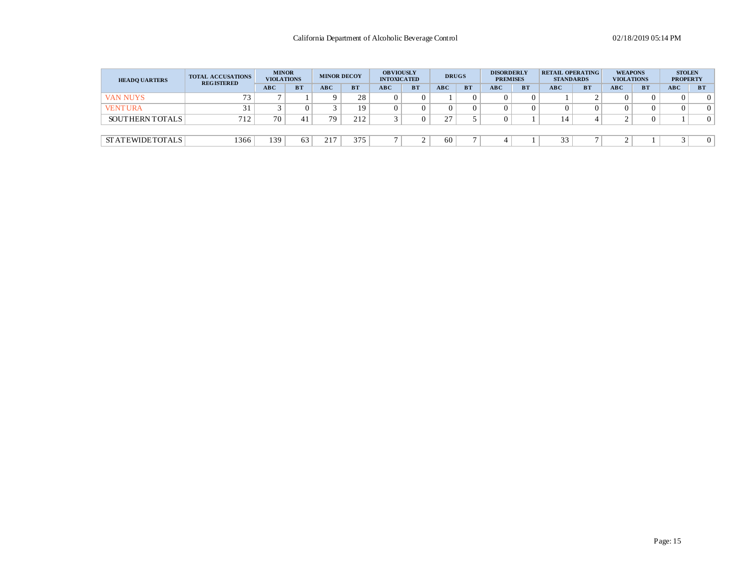| <b>HEADQ UARTERS</b>   | <b>TOTAL ACCUSATIONS</b><br><b>REGISTERED</b> | <b>MINOR</b><br><b>VIOLATIONS</b> |           | <b>MINOR DECOY</b> |           | <b>OBVIOUSLY</b><br><b>INTOXICATED</b> |           | <b>DRUGS</b>                              |           | <b>DISORDERLY</b><br><b>PREMISES</b> |           | <b>RETAIL OPERATING</b><br><b>STANDARDS</b> |           | <b>WEAPONS</b><br><b>VIOLATIONS</b> |           | <b>STOLEN</b><br><b>PROPERTY</b> |           |
|------------------------|-----------------------------------------------|-----------------------------------|-----------|--------------------|-----------|----------------------------------------|-----------|-------------------------------------------|-----------|--------------------------------------|-----------|---------------------------------------------|-----------|-------------------------------------|-----------|----------------------------------|-----------|
|                        |                                               | ABC                               | <b>BT</b> | ABC                | <b>BT</b> | ABC                                    | <b>BT</b> | ABC                                       | <b>BT</b> | <b>ABC</b>                           | <b>BT</b> | ABC                                         | <b>BT</b> | ABC                                 | <b>BT</b> | <b>ABC</b>                       | <b>BT</b> |
| <b>VAN NUYS</b>        | 73.                                           |                                   |           |                    | 28        |                                        |           |                                           |           |                                      |           |                                             |           |                                     |           |                                  |           |
| <b>VENTURA</b>         |                                               |                                   |           |                    | 19        |                                        |           |                                           |           |                                      |           |                                             | 0         |                                     |           |                                  | 0         |
| SOUTHERN TOTALS        | 712                                           | 70                                |           | 79                 | 212       |                                        |           | $\mathcal{L}$<br>$\overline{\phantom{a}}$ |           |                                      |           |                                             |           |                                     |           |                                  |           |
|                        |                                               |                                   |           |                    |           |                                        |           |                                           |           |                                      |           |                                             |           |                                     |           |                                  |           |
| <b>STATEWIDETOTALS</b> | 1366                                          | 139                               | 63        | n 1 m<br>້⊥        | 375       |                                        |           | 60                                        |           |                                      |           | $\sim$<br>$\sim$ $\sim$<br>ر. ر             |           |                                     |           |                                  |           |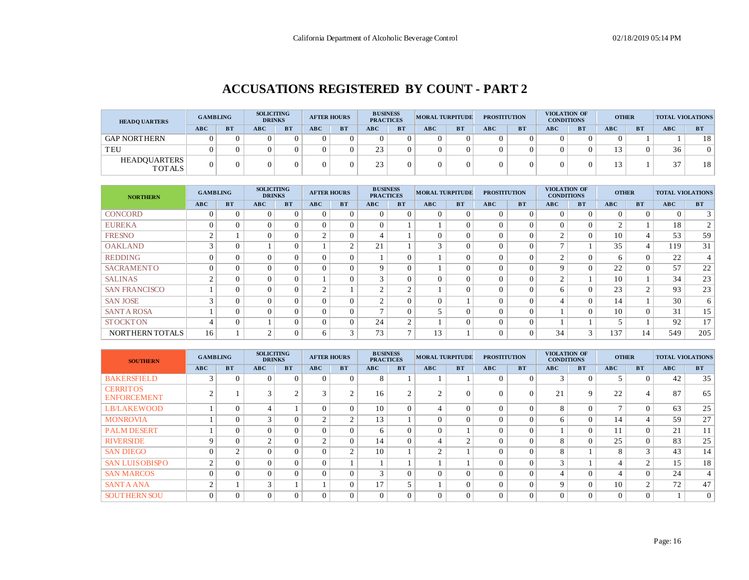### **ACCUSATIONS REGISTERED BY COUNT - PART 2**

| <b>HEADQ UARTERS</b>                 | <b>GAMBLING</b> |           | <b>SOLICITING</b><br><b>DRINKS</b> |           |            | <b>AFTER HOURS</b> | <b>BUSINESS</b><br><b>PRACTICES</b> |           | <b>MORAL TURPITUDE</b> |           | <b>PROSTITUTION</b> |           | <b>CONDITIONS</b> | VIOLATION OF | <b>OTHER</b> |           | <b>TOTAL VIOLATIONS</b> |           |
|--------------------------------------|-----------------|-----------|------------------------------------|-----------|------------|--------------------|-------------------------------------|-----------|------------------------|-----------|---------------------|-----------|-------------------|--------------|--------------|-----------|-------------------------|-----------|
|                                      | <b>ABC</b>      | <b>BT</b> | ABC                                | <b>BT</b> | <b>ABC</b> | <b>BT</b>          | ABC                                 | <b>BT</b> | ABC                    | <b>BT</b> | ABC                 | <b>BT</b> | <b>ABC</b>        | <b>BT</b>    | ABC          | <b>BT</b> | <b>ABC</b>              | <b>BT</b> |
| <b>GAP NORTHERN</b>                  |                 |           |                                    |           |            |                    |                                     |           |                        |           |                     |           | Ω.                |              |              |           |                         | 18        |
| TEU                                  |                 |           |                                    |           |            |                    | 23                                  |           |                        |           |                     |           | ∩                 |              |              |           | 36                      |           |
| <b>HEADOUARTERS</b><br><b>TOTALS</b> |                 |           |                                    |           |            |                    | 23                                  |           |                        |           |                     |           | 0.                |              |              |           | $\sim$<br>31            | 18        |

| <b>NORTHERN</b>      | <b>GAMBLING</b>         |           | <b>SOLICITING</b><br><b>DRINKS</b> |           | <b>AFTER HOURS</b> |               | <b>BUSINESS</b><br><b>PRACTICES</b> |              | <b>MORAL TURPITUDE</b> |           | <b>PROSTITUTION</b> |           | <b>VIOLATION OF</b><br><b>CONDITIONS</b> |           | <b>OTHER</b> |                | <b>TOTAL VIOLATIONS</b> |                 |
|----------------------|-------------------------|-----------|------------------------------------|-----------|--------------------|---------------|-------------------------------------|--------------|------------------------|-----------|---------------------|-----------|------------------------------------------|-----------|--------------|----------------|-------------------------|-----------------|
|                      | ABC                     | <b>BT</b> | ABC                                | <b>BT</b> | ABC                | <b>BT</b>     | ABC                                 | <b>BT</b>    | ABC                    | <b>BT</b> | ABC                 | <b>BT</b> | ABC                                      | <b>BT</b> | ABC          | <b>BT</b>      | ABC                     | <b>BT</b>       |
| <b>CONCORD</b>       | $\Omega$                | $\Omega$  | $\Omega$                           |           |                    | $\Omega$      | $\Omega$                            | $\Omega$     | $\Omega$               |           | $\Omega$            | $\Omega$  | $\Omega$                                 |           |              | $\Omega$       | $\Omega$                | 3 <sup>1</sup>  |
| <b>EUREKA</b>        | $\Omega$                | $\Omega$  | $\Omega$                           | $\Omega$  |                    | $\Omega$      | $\Omega$                            |              |                        |           | $\Omega$            | $\Omega$  | $\Omega$                                 | $\Omega$  | $\sim$       |                | 18                      | 2 <sup>1</sup>  |
| <b>FRESNO</b>        | $\gamma$                |           | $\Omega$                           | $\Omega$  | $\sim$             | $\theta$      | 4                                   |              | $\Omega$               |           | $\Omega$            | $\Omega$  | 2                                        | $\Omega$  | 10           | $\overline{4}$ | 53                      | 59              |
| <b>OAKLAND</b>       | $\mathbf{\overline{3}}$ | $\Omega$  |                                    | $\Omega$  |                    | $\mathcal{L}$ | 21                                  |              | $\sim$                 |           | 0                   | $\Omega$  | $\overline{ }$                           |           | 35           | 4              | 119                     | 31              |
| <b>REDDING</b>       | $\Omega$                | $\Omega$  | $\Omega$                           | $\Omega$  |                    | $\theta$      |                                     | $\Omega$     |                        |           | $\Omega$            | $\Omega$  | $\sim$                                   |           | 6.           | $\Omega$       | 22                      | 4 <sup>1</sup>  |
| <b>SACRAMENTO</b>    | $\Omega$                | $\Omega$  | $\Omega$                           | $\Omega$  |                    | $\Omega$      | 9                                   | $\Omega$     |                        |           | $\Omega$            | $\Omega$  | $\mathbf Q$                              |           | 22           | $\Omega$       | 57                      | 22              |
| <b>SALINAS</b>       | $\bigcap$               | $\Omega$  | $\Omega$                           | $\Omega$  |                    | $\Omega$      | 3                                   | $\Omega$     | 0                      |           | $\Omega$            | $\Omega$  | $\sim$                                   |           | 10           |                | 34                      | 23              |
| <b>SAN FRANCISCO</b> |                         | $\Omega$  | $\Omega$                           | $\Omega$  | $\sim$             |               | $\Omega$                            | $\bigcap$    |                        |           | $\Omega$            | $\Omega$  | 6                                        |           | 23           | $\sim$         | 93                      | 23              |
| <b>SAN JOSE</b>      | $\mathbf{\overline{3}}$ | $\Omega$  | $\Omega$                           | $\Omega$  |                    | $\Omega$      | $\gamma$                            | $\Omega$     | $\Omega$               |           | $\Omega$            | $\Omega$  |                                          | $\Omega$  | 14           |                | 30                      | 6               |
| <b>SANTA ROSA</b>    |                         | $\Omega$  | $\Omega$                           | $\Omega$  |                    | $\Omega$      | $\overline{ }$                      | $\Omega$     |                        |           | 0                   | $\Omega$  |                                          | $\Omega$  | 10           | $\Omega$       | 31                      | 15 <sup>1</sup> |
| <b>STOCKTON</b>      |                         | $\Omega$  |                                    | $\Omega$  |                    | $\Omega$      | 24                                  | $\sim$       |                        |           | $\Omega$            | $\Omega$  |                                          |           |              |                | 92                      | 17 <sup>1</sup> |
| NORTHERN TOTALS      | 16                      |           | $\mathcal{D}$                      | $\Omega$  |                    | 3             | 73                                  | $\mathbf{r}$ | 13                     |           | $\Omega$            | $\Omega$  | 34                                       | 3         | 137          | 14             | 549                     | 205             |

| <b>SOUTHERN</b>                       | <b>GAMBLING</b> |           | <b>SOLICITING</b><br><b>DRINKS</b> |           |          | <b>AFTER HOURS</b> | <b>BUSINESS</b><br><b>PRACTICES</b> |                | <b>MORAL TURPITUDE</b> |           | <b>PROSTITUTION</b> |           | VIOLATION OF<br><b>CONDITIONS</b> |           | <b>OTHER</b> |           | <b>TOTAL VIOLATIONS</b> |                |
|---------------------------------------|-----------------|-----------|------------------------------------|-----------|----------|--------------------|-------------------------------------|----------------|------------------------|-----------|---------------------|-----------|-----------------------------------|-----------|--------------|-----------|-------------------------|----------------|
|                                       | <b>ABC</b>      | <b>BT</b> | ABC                                | <b>BT</b> | ABC      | <b>BT</b>          | <b>ABC</b>                          | <b>BT</b>      | <b>ABC</b>             | <b>BT</b> | ABC                 | <b>BT</b> | ABC                               | <b>BT</b> | ABC          | <b>BT</b> | ABC                     | <b>BT</b>      |
| <b>BAKERSFIELD</b>                    | $\sim$          | $\Omega$  | $\Omega$                           | $\Omega$  | $\Omega$ | $\Omega$           | 8                                   |                |                        |           | $\Omega$            | $\Omega$  | $\mathcal{R}$                     | $\Omega$  |              | $\Omega$  | 42                      | 35             |
| <b>CERRITOS</b><br><b>ENFORCEMENT</b> |                 |           |                                    |           |          | $\sim$<br>∠        | 16                                  |                |                        | $\theta$  | $\Omega$            | 0         | 21                                | 9         | 22           | 4         | 87                      | 65             |
| <b>LB/LAKEWOOD</b>                    |                 | $\Omega$  | 4                                  |           |          | $\Omega$           | 10                                  | $\Omega$       |                        | $\Omega$  | $\Omega$            | $\theta$  | 8                                 | $\Omega$  |              | $\Omega$  | 63                      | 25             |
| <b>MONROVIA</b>                       |                 | $\Omega$  | 3                                  |           |          | $\overline{c}$     | 13                                  |                | 0                      | $\Omega$  | $\Omega$            | $\Omega$  | 6                                 | $\Omega$  | 14           | 4         | 59                      | 27             |
| <b>PALM DESERT</b>                    |                 | $\Omega$  | $\Omega$                           | $\Omega$  |          | $\Omega$           | 6                                   | $\Omega$       | 0                      |           | $\Omega$            | $\Omega$  |                                   | $\Omega$  | 11           | $\Omega$  | 21                      | 11             |
| <b>RIVERSIDE</b>                      | Q               | $\Omega$  | $\overline{c}$                     | $\Omega$  | $\sim$   | $\Omega$           | 14                                  | $\Omega$       |                        | $\sim$    | $\Omega$            | $\Omega$  | $\mathbf{8}$                      | $\Omega$  | 25           | $\Omega$  | 83                      | 25             |
| <b>SAN DIEGO</b>                      | $\Omega$        | $\sim$    | $\Omega$                           | $\Omega$  |          | $\overline{c}$     | 10                                  |                | $\sim$                 |           | $\Omega$            | $\Omega$  | 8                                 |           | $\circ$      | 3         | 43                      | 14             |
| <b>SAN LUISOBISPO</b>                 | ◠               | $\Omega$  | $\Omega$                           | $\Omega$  |          |                    |                                     |                |                        |           | $\Omega$            | $\Omega$  | 3                                 |           |              | $\gamma$  | 15                      | 18             |
| <b>SAN MARCOS</b>                     | $\Omega$        | $\Omega$  | $\Omega$                           | $\Omega$  |          | $\Omega$           | 3                                   | $\Omega$       | 0                      | $\Omega$  | $\Omega$            | $\Omega$  | 4                                 | $\Omega$  |              | $\Omega$  | 24                      | 4              |
| <b>SANTA ANA</b>                      | $\sim$          |           | 3                                  |           |          | $\Omega$           | 17                                  | $\overline{5}$ |                        | $\Omega$  | $\Omega$            | $\Omega$  | 9                                 | $\Omega$  | 10           | 2         | 72                      | 47             |
| <b>SOUTHERN SOU</b>                   | 0               | $\Omega$  | $\Omega$                           | $\Omega$  |          | $\Omega$           | $\Omega$                            | $\Omega$       | 0                      | $\Omega$  | $\Omega$            | $\Omega$  | $\Omega$                          | $\Omega$  |              | $\Omega$  |                         | 0 <sup>1</sup> |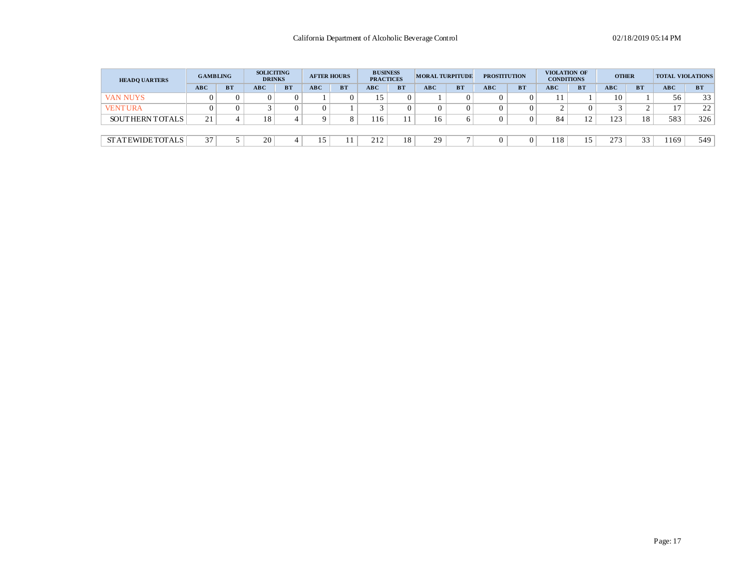| <b>HEADQ UARTERS</b>   | <b>GAMBLING</b> |           | <b>SOLICITING</b><br><b>DRINKS</b> |           |            | <b>AFTER HOURS</b> | <b>BUSINESS</b><br><b>PRACTICES</b> |           | <b>MORAL TURPITUDE</b> |           | <b>PROSTITUTION</b> |                | VIOLATION OF<br><b>CONDITIONS</b> |           | <b>OTHER</b> |           | <b>TOTAL VIOLATIONS</b> |                 |
|------------------------|-----------------|-----------|------------------------------------|-----------|------------|--------------------|-------------------------------------|-----------|------------------------|-----------|---------------------|----------------|-----------------------------------|-----------|--------------|-----------|-------------------------|-----------------|
|                        | <b>ABC</b>      | <b>BT</b> | <b>ABC</b>                         | <b>BT</b> | <b>ABC</b> | <b>BT</b>          | ABC                                 | <b>BT</b> | <b>ABC</b>             | <b>BT</b> | <b>ABC</b>          | <b>BT</b>      | <b>ABC</b>                        | <b>BT</b> | <b>ABC</b>   | <b>BT</b> | <b>ABC</b>              | <b>BT</b>       |
| <b>VAN NUYS</b>        |                 |           |                                    |           |            |                    | $\leq$                              |           |                        |           |                     | 0              |                                   |           | 10           |           | 56                      | 33 <sup>1</sup> |
| <b>VENTURA</b>         |                 |           |                                    |           |            |                    |                                     |           |                        |           |                     | $\Omega$       |                                   |           |              | $\sim$    | 17                      | 22              |
| <b>SOUTHERN TOTALS</b> | 21              |           | 18                                 |           |            | $\Omega$           | 16                                  |           | 16                     |           |                     | 0              | 84                                | $\sim$    | 122          | 18        | 583                     | 326             |
|                        |                 |           |                                    |           |            |                    |                                     |           |                        |           |                     |                |                                   |           |              |           |                         |                 |
| <b>STATEWIDETOTALS</b> | 37              |           | 20                                 |           |            |                    | 212                                 | 18        | 29                     |           |                     | $\overline{0}$ | 118                               | . J       | 273          | 33        | 1169                    | 549             |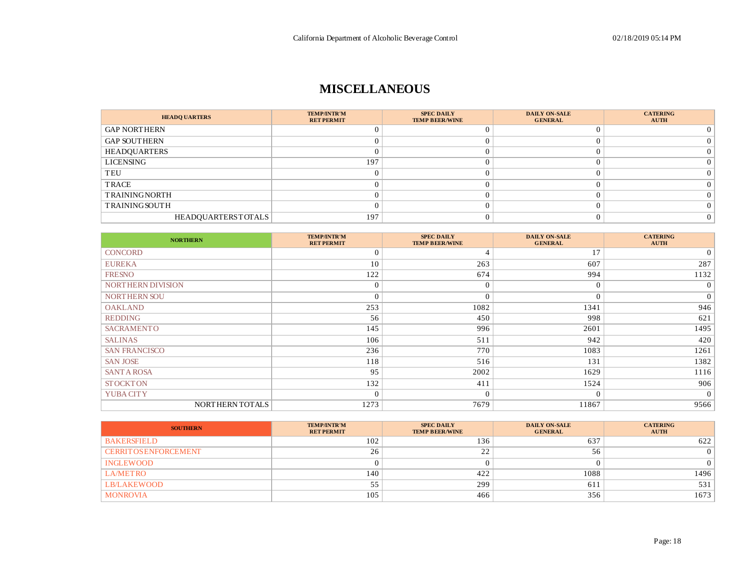### **MISCELLANEOUS**

| <b>HEADQ UARTERS</b> | <b>TEMP/INTR'M</b><br><b>RET PERMIT</b> | <b>SPEC DAILY</b><br><b>TEMP BEER/WINE</b> | <b>DAILY ON-SALE</b><br><b>GENERAL</b> | <b>CATERING</b><br><b>AUTH</b> |
|----------------------|-----------------------------------------|--------------------------------------------|----------------------------------------|--------------------------------|
| <b>GAP NORTHERN</b>  |                                         |                                            |                                        |                                |
| <b>GAP SOUTHERN</b>  |                                         |                                            |                                        |                                |
| <b>HEADQUARTERS</b>  |                                         |                                            |                                        |                                |
| LICENSING            | 197                                     |                                            |                                        |                                |
| TEU                  |                                         |                                            |                                        |                                |
| TRACE                |                                         |                                            |                                        |                                |
| <b>TRAININGNORTH</b> |                                         |                                            |                                        |                                |
| <b>TRAININGSOUTH</b> |                                         |                                            |                                        |                                |
| HEADQUARTERSTOTALS   | 197                                     |                                            |                                        |                                |

| <b>NORTHERN</b>      | <b>TEMP/INTR'M</b><br><b>RET PERMIT</b> | <b>SPEC DAILY</b><br><b>TEMP BEER/WINE</b> | <b>DAILY ON-SALE</b><br><b>GENERAL</b> | <b>CATERING</b><br><b>AUTH</b> |
|----------------------|-----------------------------------------|--------------------------------------------|----------------------------------------|--------------------------------|
| <b>CONCORD</b>       | $\Omega$                                | 4                                          | 17                                     | $\overline{0}$                 |
| <b>EUREKA</b>        | 10                                      | 263                                        | 607                                    | 287                            |
| <b>FRESNO</b>        | 122                                     | 674                                        | 994                                    | 1132                           |
| NORTHERN DIVISION    | $\Omega$                                | $\theta$                                   | $\overline{0}$                         | $\overline{0}$                 |
| NORTHERN SOU         | $\Omega$                                | 0                                          | $\Omega$                               | $\overline{0}$                 |
| <b>OAKLAND</b>       | 253                                     | 1082                                       | 1341                                   | 946                            |
| <b>REDDING</b>       | 56                                      | 450                                        | 998                                    | 621                            |
| <b>SACRAMENTO</b>    | 145                                     | 996                                        | 2601                                   | 1495                           |
| <b>SALINAS</b>       | 106                                     | 511                                        | 942                                    | 420                            |
| <b>SAN FRANCISCO</b> | 236                                     | 770                                        | 1083                                   | 1261                           |
| <b>SAN JOSE</b>      | 118                                     | 516                                        | 131                                    | 1382                           |
| <b>SANT A ROSA</b>   | 95                                      | 2002                                       | 1629                                   | 1116                           |
| <b>STOCKTON</b>      | 132                                     | 411                                        | 1524                                   | 906                            |
| YUBA CITY            | $\Omega$                                | $\Omega$                                   | $\overline{0}$                         | $\overline{0}$                 |
| NORTHERN TOTALS      | 1273                                    | 7679                                       | 11867                                  | 9566                           |

| <b>SOUTHERN</b>              | <b>TEMP/INTR'M</b><br><b>RET PERMIT</b> | <b>SPEC DAILY</b><br><b>TEMP BEER/WINE</b> | <b>DAILY ON-SALE</b><br><b>GENERAL</b> | <b>CATERING</b><br><b>AUTH</b> |
|------------------------------|-----------------------------------------|--------------------------------------------|----------------------------------------|--------------------------------|
| <b>BAKERSFIELD</b>           | 102                                     | 136                                        | 637                                    | 622                            |
| <b>CERRIT OS ENFORCEMENT</b> | 26                                      | 22                                         | 56                                     |                                |
| <b>INGLEWOOD</b>             |                                         |                                            |                                        |                                |
| <b>LA/METRO</b>              | 140                                     | 422                                        | 1088                                   | 1496                           |
| <b>LB/LAKEWOOD</b>           | 55<br>JJ                                | 299                                        | 611                                    | 531                            |
| <b>MONROVIA</b>              | 105                                     | 466                                        | 356                                    | 1673                           |